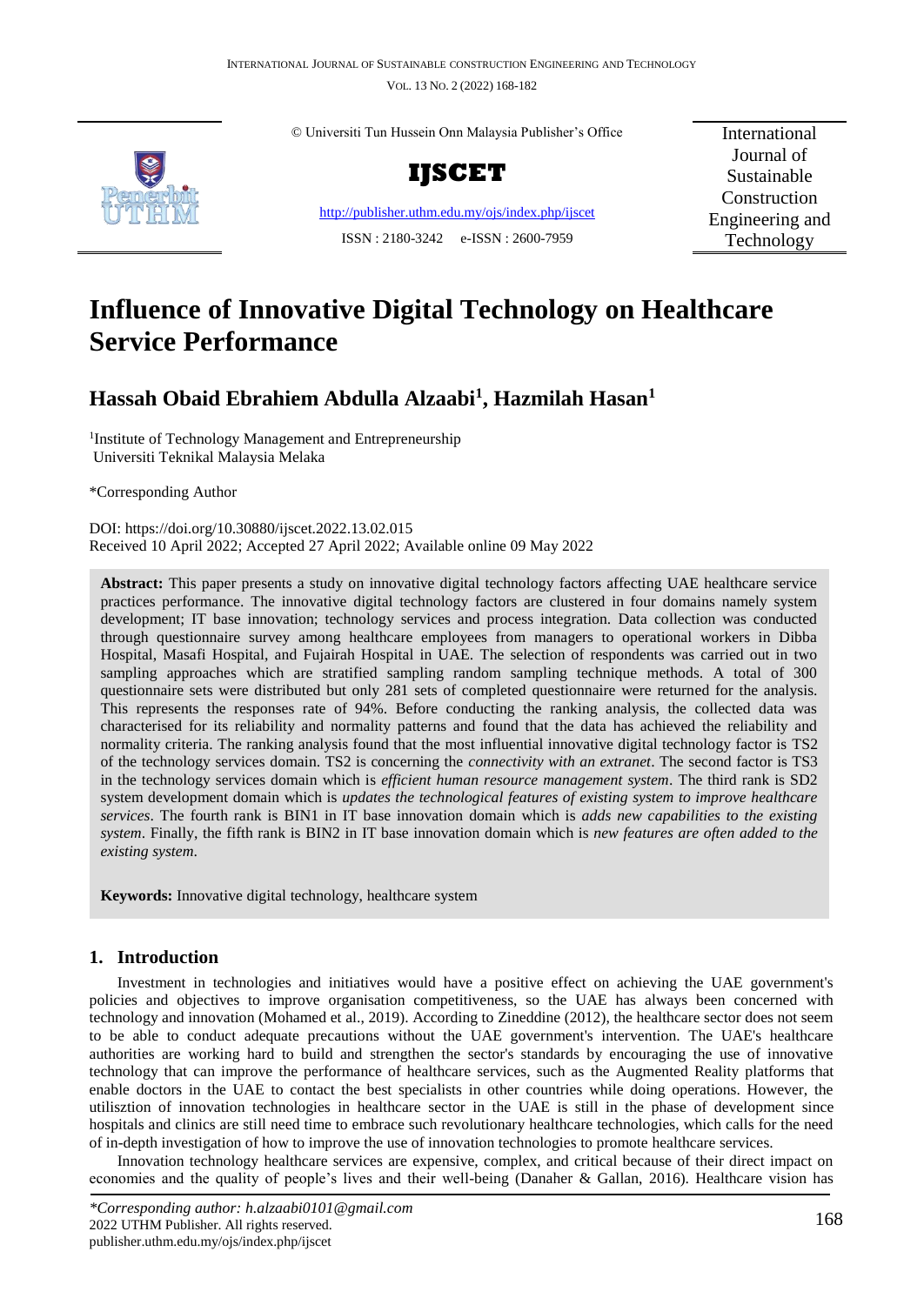

© Universiti Tun Hussein Onn Malaysia Publisher's Office

**IJSCET**

<http://publisher.uthm.edu.my/ojs/index.php/ijscet> ISSN : 2180-3242 e-ISSN : 2600-7959

International Journal of Sustainable Construction Engineering and Technology

# **Influence of Innovative Digital Technology on Healthcare Service Performance**

# **Hassah Obaid Ebrahiem Abdulla Alzaabi<sup>1</sup> , Hazmilah Hasan<sup>1</sup>**

<sup>1</sup>Institute of Technology Management and Entrepreneurship Universiti Teknikal Malaysia Melaka

\*Corresponding Author

DOI: https://doi.org/10.30880/ijscet.2022.13.02.015 Received 10 April 2022; Accepted 27 April 2022; Available online 09 May 2022

Abstract: This paper presents a study on innovative digital technology factors affecting UAE healthcare service practices performance. The innovative digital technology factors are clustered in four domains namely system development; IT base innovation; technology services and process integration. Data collection was conducted through questionnaire survey among healthcare employees from managers to operational workers in Dibba Hospital, Masafi Hospital, and Fujairah Hospital in UAE. The selection of respondents was carried out in two sampling approaches which are stratified sampling random sampling technique methods. A total of 300 questionnaire sets were distributed but only 281 sets of completed questionnaire were returned for the analysis. This represents the responses rate of 94%. Before conducting the ranking analysis, the collected data was characterised for its reliability and normality patterns and found that the data has achieved the reliability and normality criteria. The ranking analysis found that the most influential innovative digital technology factor is TS2 of the technology services domain. TS2 is concerning the *connectivity with an extranet*. The second factor is TS3 in the technology services domain which is *efficient human resource management system*. The third rank is SD2 system development domain which is *updates the technological features of existing system to improve healthcare services*. The fourth rank is BIN1 in IT base innovation domain which is *adds new capabilities to the existing system*. Finally, the fifth rank is BIN2 in IT base innovation domain which is *new features are often added to the existing system*.

**Keywords:** Innovative digital technology, healthcare system

# **1. Introduction**

Investment in technologies and initiatives would have a positive effect on achieving the UAE government's policies and objectives to improve organisation competitiveness, so the UAE has always been concerned with technology and innovation (Mohamed et al., 2019). According to Zineddine (2012), the healthcare sector does not seem to be able to conduct adequate precautions without the UAE government's intervention. The UAE's healthcare authorities are working hard to build and strengthen the sector's standards by encouraging the use of innovative technology that can improve the performance of healthcare services, such as the Augmented Reality platforms that enable doctors in the UAE to contact the best specialists in other countries while doing operations. However, the utilisztion of innovation technologies in healthcare sector in the UAE is still in the phase of development since hospitals and clinics are still need time to embrace such revolutionary healthcare technologies, which calls for the need of in-depth investigation of how to improve the use of innovation technologies to promote healthcare services.

Innovation technology healthcare services are expensive, complex, and critical because of their direct impact on economies and the quality of people's lives and their well-being (Danaher & Gallan, 2016). Healthcare vision has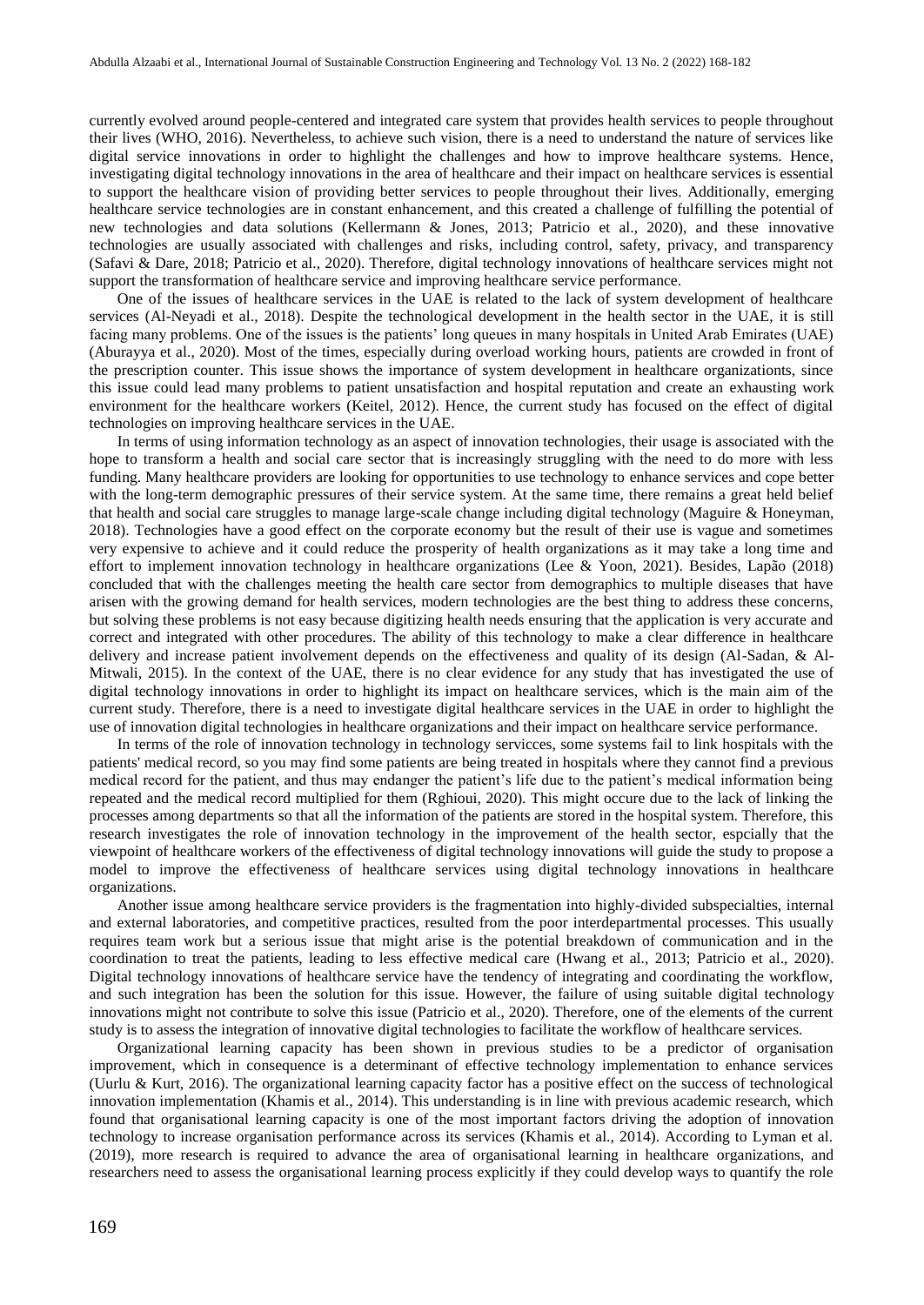currently evolved around people-centered and integrated care system that provides health services to people throughout their lives (WHO, 2016). Nevertheless, to achieve such vision, there is a need to understand the nature of services like digital service innovations in order to highlight the challenges and how to improve healthcare systems. Hence, investigating digital technology innovations in the area of healthcare and their impact on healthcare services is essential to support the healthcare vision of providing better services to people throughout their lives. Additionally, emerging healthcare service technologies are in constant enhancement, and this created a challenge of fulfilling the potential of new technologies and data solutions (Kellermann & Jones, 2013; Patricio et al., 2020), and these innovative technologies are usually associated with challenges and risks, including control, safety, privacy, and transparency (Safavi & Dare, 2018; Patricio et al., 2020). Therefore, digital technology innovations of healthcare services might not support the transformation of healthcare service and improving healthcare service performance.

One of the issues of healthcare services in the UAE is related to the lack of system development of healthcare services (Al-Neyadi et al., 2018). Despite the technological development in the health sector in the UAE, it is still facing many problems. One of the issues is the patients' long queues in many hospitals in United Arab Emirates (UAE) (Aburayya et al., 2020). Most of the times, especially during overload working hours, patients are crowded in front of the prescription counter. This issue shows the importance of system development in healthcare organizationts, since this issue could lead many problems to patient unsatisfaction and hospital reputation and create an exhausting work environment for the healthcare workers (Keitel, 2012). Hence, the current study has focused on the effect of digital technologies on improving healthcare services in the UAE.

In terms of using information technology as an aspect of innovation technologies, their usage is associated with the hope to transform a health and social care sector that is increasingly struggling with the need to do more with less funding. Many healthcare providers are looking for opportunities to use technology to enhance services and cope better with the long-term demographic pressures of their service system. At the same time, there remains a great held belief that health and social care struggles to manage large-scale change including digital technology (Maguire & Honeyman, 2018). Technologies have a good effect on the corporate economy but the result of their use is vague and sometimes very expensive to achieve and it could reduce the prosperity of health organizations as it may take a long time and effort to implement innovation technology in healthcare organizations (Lee & Yoon, 2021). Besides, Lapão (2018) concluded that with the challenges meeting the health care sector from demographics to multiple diseases that have arisen with the growing demand for health services, modern technologies are the best thing to address these concerns, but solving these problems is not easy because digitizing health needs ensuring that the application is very accurate and correct and integrated with other procedures. The ability of this technology to make a clear difference in healthcare delivery and increase patient involvement depends on the effectiveness and quality of its design (Al-Sadan, & Al-Mitwali, 2015). In the context of the UAE, there is no clear evidence for any study that has investigated the use of digital technology innovations in order to highlight its impact on healthcare services, which is the main aim of the current study. Therefore, there is a need to investigate digital healthcare services in the UAE in order to highlight the use of innovation digital technologies in healthcare organizations and their impact on healthcare service performance.

In terms of the role of innovation technology in technology servicces, some systems fail to link hospitals with the patients' medical record, so you may find some patients are being treated in hospitals where they cannot find a previous medical record for the patient, and thus may endanger the patient's life due to the patient's medical information being repeated and the medical record multiplied for them (Rghioui, 2020). This might occure due to the lack of linking the processes among departments so that all the information of the patients are stored in the hospital system. Therefore, this research investigates the role of innovation technology in the improvement of the health sector, espcially that the viewpoint of healthcare workers of the effectiveness of digital technology innovations will guide the study to propose a model to improve the effectiveness of healthcare services using digital technology innovations in healthcare organizations.

Another issue among healthcare service providers is the fragmentation into highly-divided subspecialties, internal and external laboratories, and competitive practices, resulted from the poor interdepartmental processes. This usually requires team work but a serious issue that might arise is the potential breakdown of communication and in the coordination to treat the patients, leading to less effective medical care (Hwang et al., 2013; Patricio et al., 2020). Digital technology innovations of healthcare service have the tendency of integrating and coordinating the workflow, and such integration has been the solution for this issue. However, the failure of using suitable digital technology innovations might not contribute to solve this issue (Patricio et al., 2020). Therefore, one of the elements of the current study is to assess the integration of innovative digital technologies to facilitate the workflow of healthcare services.

Organizational learning capacity has been shown in previous studies to be a predictor of organisation improvement, which in consequence is a determinant of effective technology implementation to enhance services (Uurlu & Kurt, 2016). The organizational learning capacity factor has a positive effect on the success of technological innovation implementation (Khamis et al., 2014). This understanding is in line with previous academic research, which found that organisational learning capacity is one of the most important factors driving the adoption of innovation technology to increase organisation performance across its services (Khamis et al., 2014). According to Lyman et al. (2019), more research is required to advance the area of organisational learning in healthcare organizations, and researchers need to assess the organisational learning process explicitly if they could develop ways to quantify the role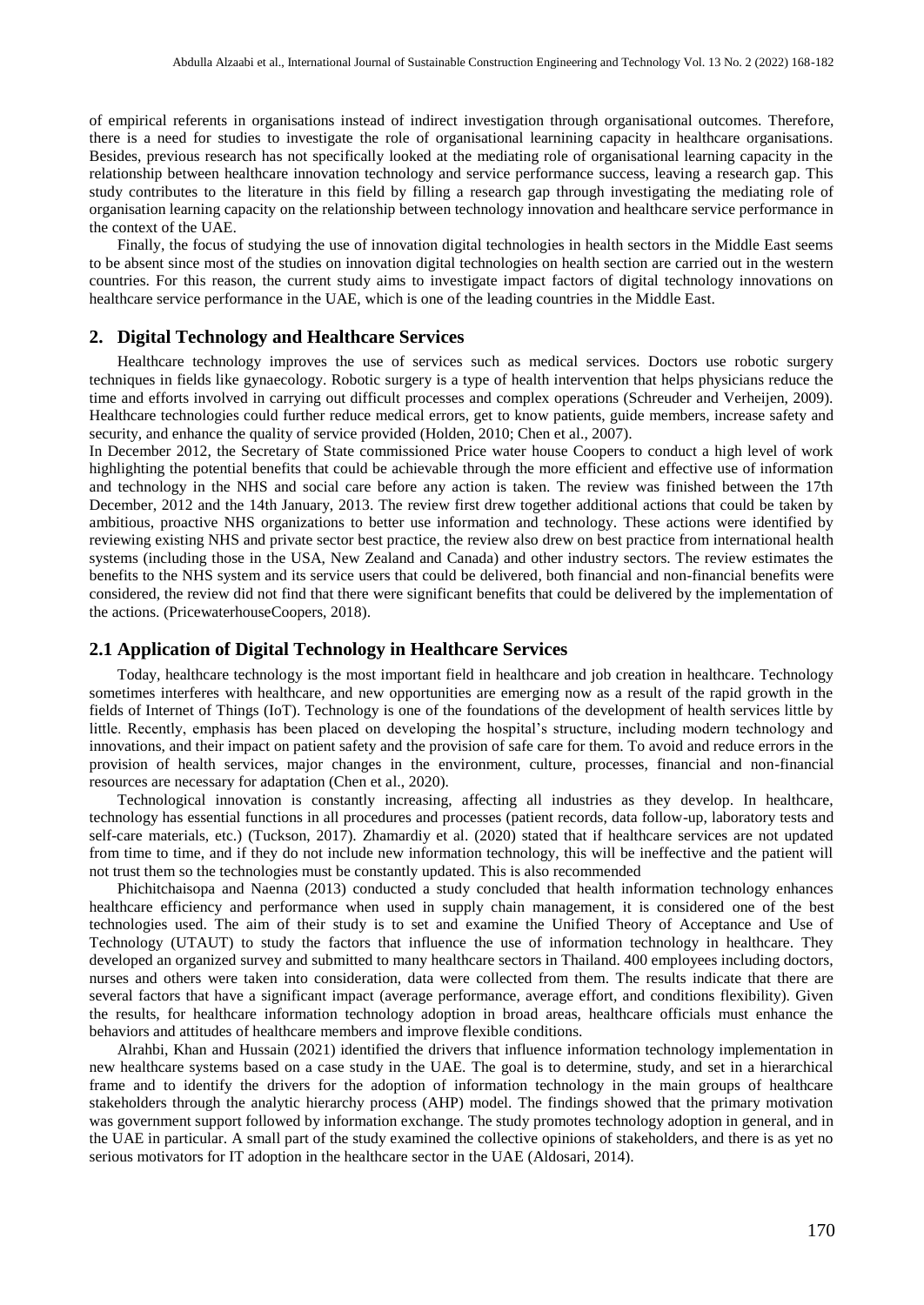of empirical referents in organisations instead of indirect investigation through organisational outcomes. Therefore, there is a need for studies to investigate the role of organisational learnining capacity in healthcare organisations. Besides, previous research has not specifically looked at the mediating role of organisational learning capacity in the relationship between healthcare innovation technology and service performance success, leaving a research gap. This study contributes to the literature in this field by filling a research gap through investigating the mediating role of organisation learning capacity on the relationship between technology innovation and healthcare service performance in the context of the UAE.

Finally, the focus of studying the use of innovation digital technologies in health sectors in the Middle East seems to be absent since most of the studies on innovation digital technologies on health section are carried out in the western countries. For this reason, the current study aims to investigate impact factors of digital technology innovations on healthcare service performance in the UAE, which is one of the leading countries in the Middle East.

#### **2. Digital Technology and Healthcare Services**

Healthcare technology improves the use of services such as medical services. Doctors use robotic surgery techniques in fields like gynaecology. Robotic surgery is a type of health intervention that helps physicians reduce the time and efforts involved in carrying out difficult processes and complex operations (Schreuder and Verheijen, 2009). Healthcare technologies could further reduce medical errors, get to know patients, guide members, increase safety and security, and enhance the quality of service provided (Holden, 2010; Chen et al., 2007).

In December 2012, the Secretary of State commissioned Price water house Coopers to conduct a high level of work highlighting the potential benefits that could be achievable through the more efficient and effective use of information and technology in the NHS and social care before any action is taken. The review was finished between the 17th December, 2012 and the 14th January, 2013. The review first drew together additional actions that could be taken by ambitious, proactive NHS organizations to better use information and technology. These actions were identified by reviewing existing NHS and private sector best practice, the review also drew on best practice from international health systems (including those in the USA, New Zealand and Canada) and other industry sectors. The review estimates the benefits to the NHS system and its service users that could be delivered, both financial and non-financial benefits were considered, the review did not find that there were significant benefits that could be delivered by the implementation of the actions. (PricewaterhouseCoopers, 2018).

#### **2.1 Application of Digital Technology in Healthcare Services**

Today, healthcare technology is the most important field in healthcare and job creation in healthcare. Technology sometimes interferes with healthcare, and new opportunities are emerging now as a result of the rapid growth in the fields of Internet of Things (IoT). Technology is one of the foundations of the development of health services little by little. Recently, emphasis has been placed on developing the hospital's structure, including modern technology and innovations, and their impact on patient safety and the provision of safe care for them. To avoid and reduce errors in the provision of health services, major changes in the environment, culture, processes, financial and non-financial resources are necessary for adaptation (Chen et al., 2020).

Technological innovation is constantly increasing, affecting all industries as they develop. In healthcare, technology has essential functions in all procedures and processes (patient records, data follow-up, laboratory tests and self-care materials, etc.) (Tuckson, 2017). Zhamardiy et al. (2020) stated that if healthcare services are not updated from time to time, and if they do not include new information technology, this will be ineffective and the patient will not trust them so the technologies must be constantly updated. This is also recommended

Phichitchaisopa and Naenna (2013) conducted a study concluded that health information technology enhances healthcare efficiency and performance when used in supply chain management, it is considered one of the best technologies used. The aim of their study is to set and examine the Unified Theory of Acceptance and Use of Technology (UTAUT) to study the factors that influence the use of information technology in healthcare. They developed an organized survey and submitted to many healthcare sectors in Thailand. 400 employees including doctors, nurses and others were taken into consideration, data were collected from them. The results indicate that there are several factors that have a significant impact (average performance, average effort, and conditions flexibility). Given the results, for healthcare information technology adoption in broad areas, healthcare officials must enhance the behaviors and attitudes of healthcare members and improve flexible conditions.

Alrahbi, Khan and Hussain (2021) identified the drivers that influence information technology implementation in new healthcare systems based on a case study in the UAE. The goal is to determine, study, and set in a hierarchical frame and to identify the drivers for the adoption of information technology in the main groups of healthcare stakeholders through the analytic hierarchy process (AHP) model. The findings showed that the primary motivation was government support followed by information exchange. The study promotes technology adoption in general, and in the UAE in particular. A small part of the study examined the collective opinions of stakeholders, and there is as yet no serious motivators for IT adoption in the healthcare sector in the UAE (Aldosari, 2014).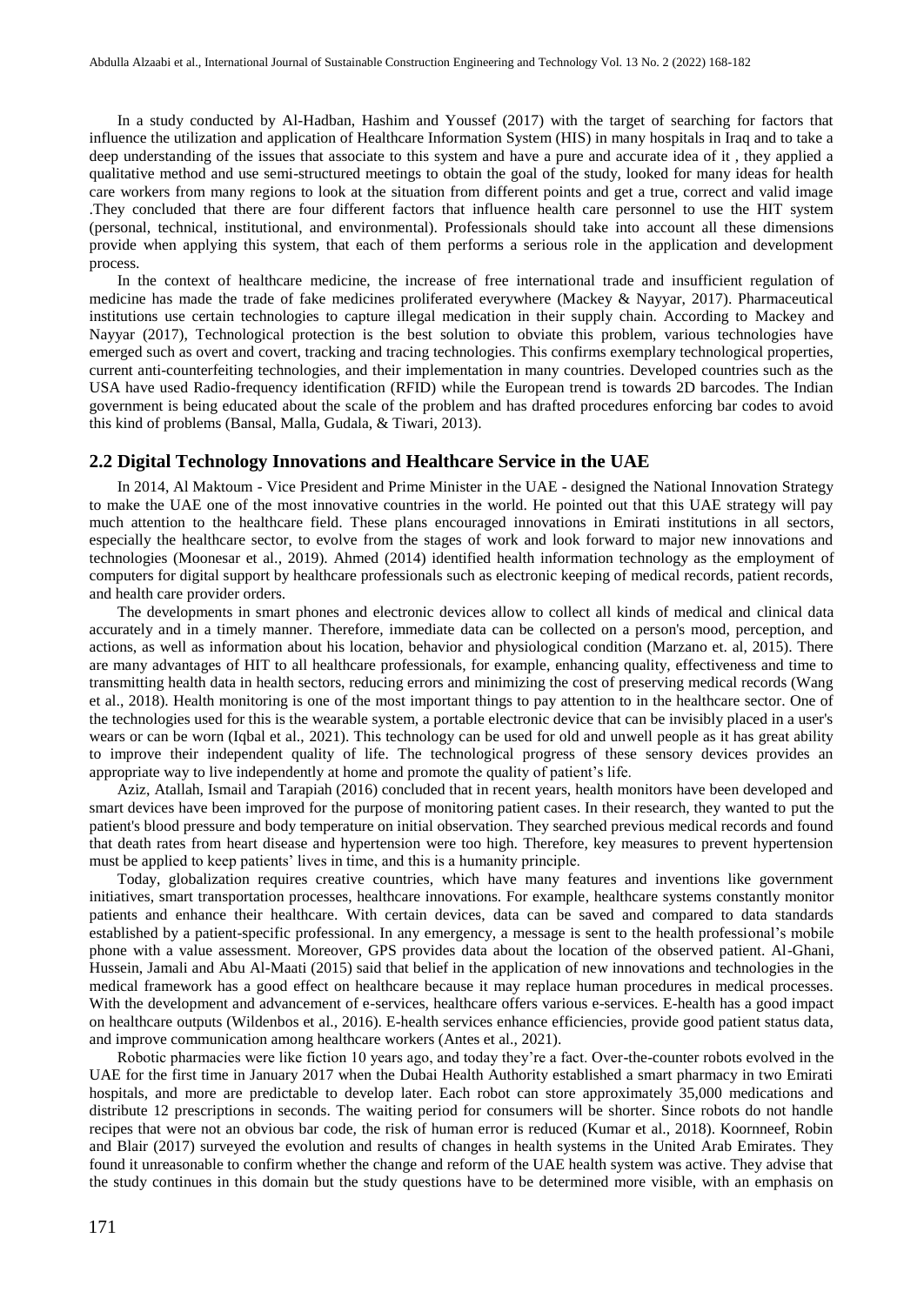In a study conducted by Al-Hadban, Hashim and Youssef (2017) with the target of searching for factors that influence the utilization and application of Healthcare Information System (HIS) in many hospitals in Iraq and to take a deep understanding of the issues that associate to this system and have a pure and accurate idea of it , they applied a qualitative method and use semi-structured meetings to obtain the goal of the study, looked for many ideas for health care workers from many regions to look at the situation from different points and get a true, correct and valid image .They concluded that there are four different factors that influence health care personnel to use the HIT system (personal, technical, institutional, and environmental). Professionals should take into account all these dimensions provide when applying this system, that each of them performs a serious role in the application and development process.

In the context of healthcare medicine, the increase of free international trade and insufficient regulation of medicine has made the trade of fake medicines proliferated everywhere (Mackey & Nayyar, 2017). Pharmaceutical institutions use certain technologies to capture illegal medication in their supply chain. According to Mackey and Nayyar (2017), Technological protection is the best solution to obviate this problem, various technologies have emerged such as overt and covert, tracking and tracing technologies. This confirms exemplary technological properties, current anti-counterfeiting technologies, and their implementation in many countries. Developed countries such as the USA have used Radio-frequency identification (RFID) while the European trend is towards 2D barcodes. The Indian government is being educated about the scale of the problem and has drafted procedures enforcing bar codes to avoid this kind of problems (Bansal, Malla, Gudala, & Tiwari, 2013).

#### **2.2 Digital Technology Innovations and Healthcare Service in the UAE**

In 2014, Al Maktoum - Vice President and Prime Minister in the UAE - designed the National Innovation Strategy to make the UAE one of the most innovative countries in the world. He pointed out that this UAE strategy will pay much attention to the healthcare field. These plans encouraged innovations in Emirati institutions in all sectors, especially the healthcare sector, to evolve from the stages of work and look forward to major new innovations and technologies (Moonesar et al., 2019). Ahmed (2014) identified health information technology as the employment of computers for digital support by healthcare professionals such as electronic keeping of medical records, patient records, and health care provider orders.

The developments in smart phones and electronic devices allow to collect all kinds of medical and clinical data accurately and in a timely manner. Therefore, immediate data can be collected on a person's mood, perception, and actions, as well as information about his location, behavior and physiological condition (Marzano et. al, 2015). There are many advantages of HIT to all healthcare professionals, for example, enhancing quality, effectiveness and time to transmitting health data in health sectors, reducing errors and minimizing the cost of preserving medical records (Wang et al., 2018). Health monitoring is one of the most important things to pay attention to in the healthcare sector. One of the technologies used for this is the wearable system, a portable electronic device that can be invisibly placed in a user's wears or can be worn (Iqbal et al., 2021). This technology can be used for old and unwell people as it has great ability to improve their independent quality of life. The technological progress of these sensory devices provides an appropriate way to live independently at home and promote the quality of patient's life.

Aziz, Atallah, Ismail and Tarapiah (2016) concluded that in recent years, health monitors have been developed and smart devices have been improved for the purpose of monitoring patient cases. In their research, they wanted to put the patient's blood pressure and body temperature on initial observation. They searched previous medical records and found that death rates from heart disease and hypertension were too high. Therefore, key measures to prevent hypertension must be applied to keep patients' lives in time, and this is a humanity principle.

Today, globalization requires creative countries, which have many features and inventions like government initiatives, smart transportation processes, healthcare innovations. For example, healthcare systems constantly monitor patients and enhance their healthcare. With certain devices, data can be saved and compared to data standards established by a patient-specific professional. In any emergency, a message is sent to the health professional's mobile phone with a value assessment. Moreover, GPS provides data about the location of the observed patient. Al-Ghani, Hussein, Jamali and Abu Al-Maati (2015) said that belief in the application of new innovations and technologies in the medical framework has a good effect on healthcare because it may replace human procedures in medical processes. With the development and advancement of e-services, healthcare offers various e-services. E-health has a good impact on healthcare outputs (Wildenbos et al., 2016). E-health services enhance efficiencies, provide good patient status data, and improve communication among healthcare workers (Antes et al., 2021).

Robotic pharmacies were like fiction 10 years ago, and today they're a fact. Over-the-counter robots evolved in the UAE for the first time in January 2017 when the Dubai Health Authority established a smart pharmacy in two Emirati hospitals, and more are predictable to develop later. Each robot can store approximately 35,000 medications and distribute 12 prescriptions in seconds. The waiting period for consumers will be shorter. Since robots do not handle recipes that were not an obvious bar code, the risk of human error is reduced (Kumar et al., 2018). Koornneef, Robin and Blair (2017) surveyed the evolution and results of changes in health systems in the United Arab Emirates. They found it unreasonable to confirm whether the change and reform of the UAE health system was active. They advise that the study continues in this domain but the study questions have to be determined more visible, with an emphasis on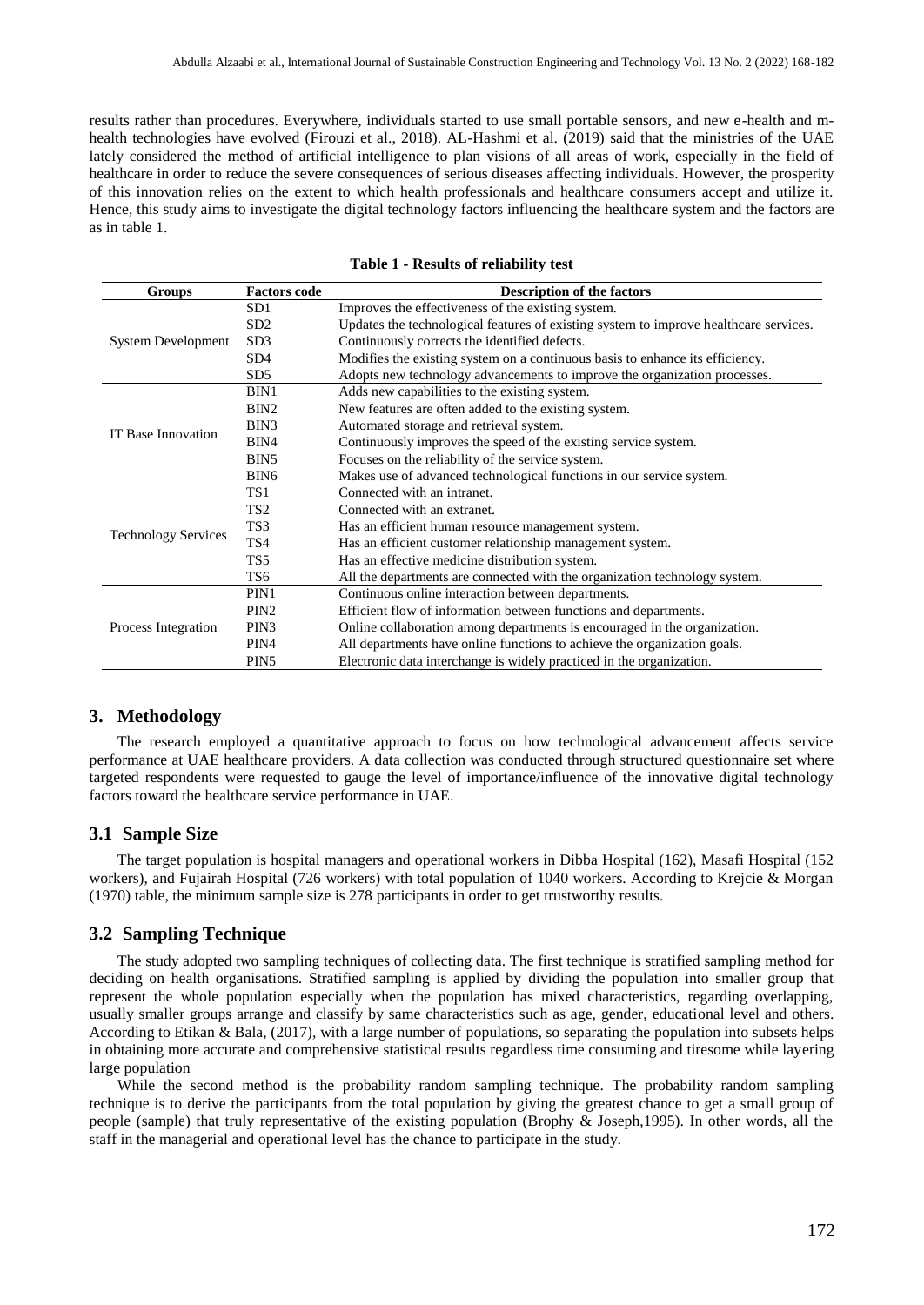results rather than procedures. Everywhere, individuals started to use small portable sensors, and new e-health and mhealth technologies have evolved (Firouzi et al., 2018). AL-Hashmi et al. (2019) said that the ministries of the UAE lately considered the method of artificial intelligence to plan visions of all areas of work, especially in the field of healthcare in order to reduce the severe consequences of serious diseases affecting individuals. However, the prosperity of this innovation relies on the extent to which health professionals and healthcare consumers accept and utilize it. Hence, this study aims to investigate the digital technology factors influencing the healthcare system and the factors are as in table 1.

| <b>Groups</b>              | <b>Factors code</b> | <b>Description of the factors</b>                                                     |  |  |
|----------------------------|---------------------|---------------------------------------------------------------------------------------|--|--|
| System Development         | SD <sub>1</sub>     | Improves the effectiveness of the existing system.                                    |  |  |
|                            | SD2                 | Updates the technological features of existing system to improve healthcare services. |  |  |
|                            | SD <sub>3</sub>     | Continuously corrects the identified defects.                                         |  |  |
|                            | SD4                 | Modifies the existing system on a continuous basis to enhance its efficiency.         |  |  |
|                            | SD5                 | Adopts new technology advancements to improve the organization processes.             |  |  |
|                            | BIN1                | Adds new capabilities to the existing system.                                         |  |  |
|                            | BIN <sub>2</sub>    | New features are often added to the existing system.                                  |  |  |
| IT Base Innovation         | BIN3                | Automated storage and retrieval system.                                               |  |  |
|                            | BIN4                | Continuously improves the speed of the existing service system.                       |  |  |
|                            | BIN <sub>5</sub>    | Focuses on the reliability of the service system.                                     |  |  |
|                            | BIN <sub>6</sub>    | Makes use of advanced technological functions in our service system.                  |  |  |
|                            | TS1                 | Connected with an intranet.                                                           |  |  |
|                            | TS <sub>2</sub>     | Connected with an extranet.                                                           |  |  |
|                            | TS3                 | Has an efficient human resource management system.                                    |  |  |
| <b>Technology Services</b> | TS <sub>4</sub>     | Has an efficient customer relationship management system.                             |  |  |
|                            | TS5                 | Has an effective medicine distribution system.                                        |  |  |
|                            | TS <sub>6</sub>     | All the departments are connected with the organization technology system.            |  |  |
|                            | PIN1                | Continuous online interaction between departments.                                    |  |  |
|                            | PIN <sub>2</sub>    | Efficient flow of information between functions and departments.                      |  |  |
| Process Integration        | PIN <sub>3</sub>    | Online collaboration among departments is encouraged in the organization.             |  |  |
|                            | PIN4                | All departments have online functions to achieve the organization goals.              |  |  |
|                            | PIN <sub>5</sub>    | Electronic data interchange is widely practiced in the organization.                  |  |  |

**Table 1 - Results of reliability test**

#### **3. Methodology**

The research employed a quantitative approach to focus on how technological advancement affects service performance at UAE healthcare providers. A data collection was conducted through structured questionnaire set where targeted respondents were requested to gauge the level of importance/influence of the innovative digital technology factors toward the healthcare service performance in UAE.

#### **3.1 Sample Size**

The target population is hospital managers and operational workers in Dibba Hospital (162), Masafi Hospital (152 workers), and Fujairah Hospital (726 workers) with total population of 1040 workers. According to Krejcie & Morgan (1970) table, the minimum sample size is 278 participants in order to get trustworthy results.

#### **3.2 Sampling Technique**

The study adopted two sampling techniques of collecting data. The first technique is stratified sampling method for deciding on health organisations. Stratified sampling is applied by dividing the population into smaller group that represent the whole population especially when the population has mixed characteristics, regarding overlapping, usually smaller groups arrange and classify by same characteristics such as age, gender, educational level and others. According to Etikan & Bala, (2017), with a large number of populations, so separating the population into subsets helps in obtaining more accurate and comprehensive statistical results regardless time consuming and tiresome while layering large population

While the second method is the probability random sampling technique. The probability random sampling technique is to derive the participants from the total population by giving the greatest chance to get a small group of people (sample) that truly representative of the existing population (Brophy & Joseph,1995). In other words, all the staff in the managerial and operational level has the chance to participate in the study.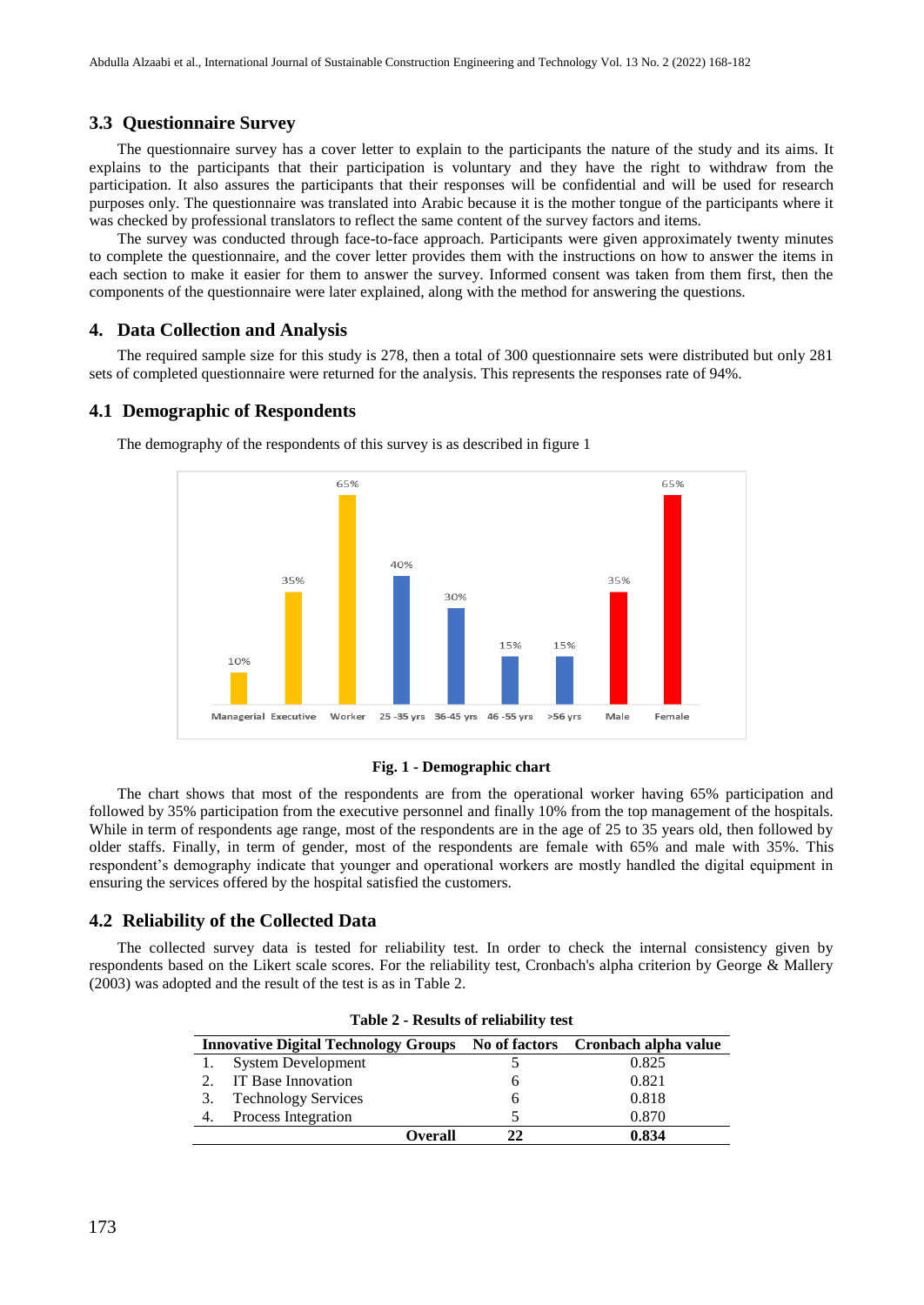#### **3.3 Questionnaire Survey**

The questionnaire survey has a cover letter to explain to the participants the nature of the study and its aims. It explains to the participants that their participation is voluntary and they have the right to withdraw from the participation. It also assures the participants that their responses will be confidential and will be used for research purposes only. The questionnaire was translated into Arabic because it is the mother tongue of the participants where it was checked by professional translators to reflect the same content of the survey factors and items.

The survey was conducted through face-to-face approach. Participants were given approximately twenty minutes to complete the questionnaire, and the cover letter provides them with the instructions on how to answer the items in each section to make it easier for them to answer the survey. Informed consent was taken from them first, then the components of the questionnaire were later explained, along with the method for answering the questions.

#### **4. Data Collection and Analysis**

The required sample size for this study is 278, then a total of 300 questionnaire sets were distributed but only 281 sets of completed questionnaire were returned for the analysis. This represents the responses rate of 94%.

#### **4.1 Demographic of Respondents**

65% 65% 40% 35% 35% 30% 15% 15% 10% Managerial Executive Worker 25 - 35 yrs 36-45 yrs 46 - 55 yrs >56 yrs Male Female

The demography of the respondents of this survey is as described in figure 1

#### **Fig. 1 - Demographic chart**

The chart shows that most of the respondents are from the operational worker having 65% participation and followed by 35% participation from the executive personnel and finally 10% from the top management of the hospitals. While in term of respondents age range, most of the respondents are in the age of 25 to 35 years old, then followed by older staffs. Finally, in term of gender, most of the respondents are female with 65% and male with 35%. This respondent's demography indicate that younger and operational workers are mostly handled the digital equipment in ensuring the services offered by the hospital satisfied the customers.

#### **4.2 Reliability of the Collected Data**

The collected survey data is tested for reliability test. In order to check the internal consistency given by respondents based on the Likert scale scores. For the reliability test, Cronbach's alpha criterion by George & Mallery (2003) was adopted and the result of the test is as in Table 2.

| <b>Innovative Digital Technology Groups</b> |                            |    | No of factors Cronbach alpha value |
|---------------------------------------------|----------------------------|----|------------------------------------|
|                                             | <b>System Development</b>  |    | 0.825                              |
|                                             | IT Base Innovation         |    | 0.821                              |
|                                             | <b>Technology Services</b> |    | 0.818                              |
|                                             | Process Integration        |    | 0.870                              |
|                                             | Overall                    | 22 | 0.834                              |

**Table 2 - Results of reliability test**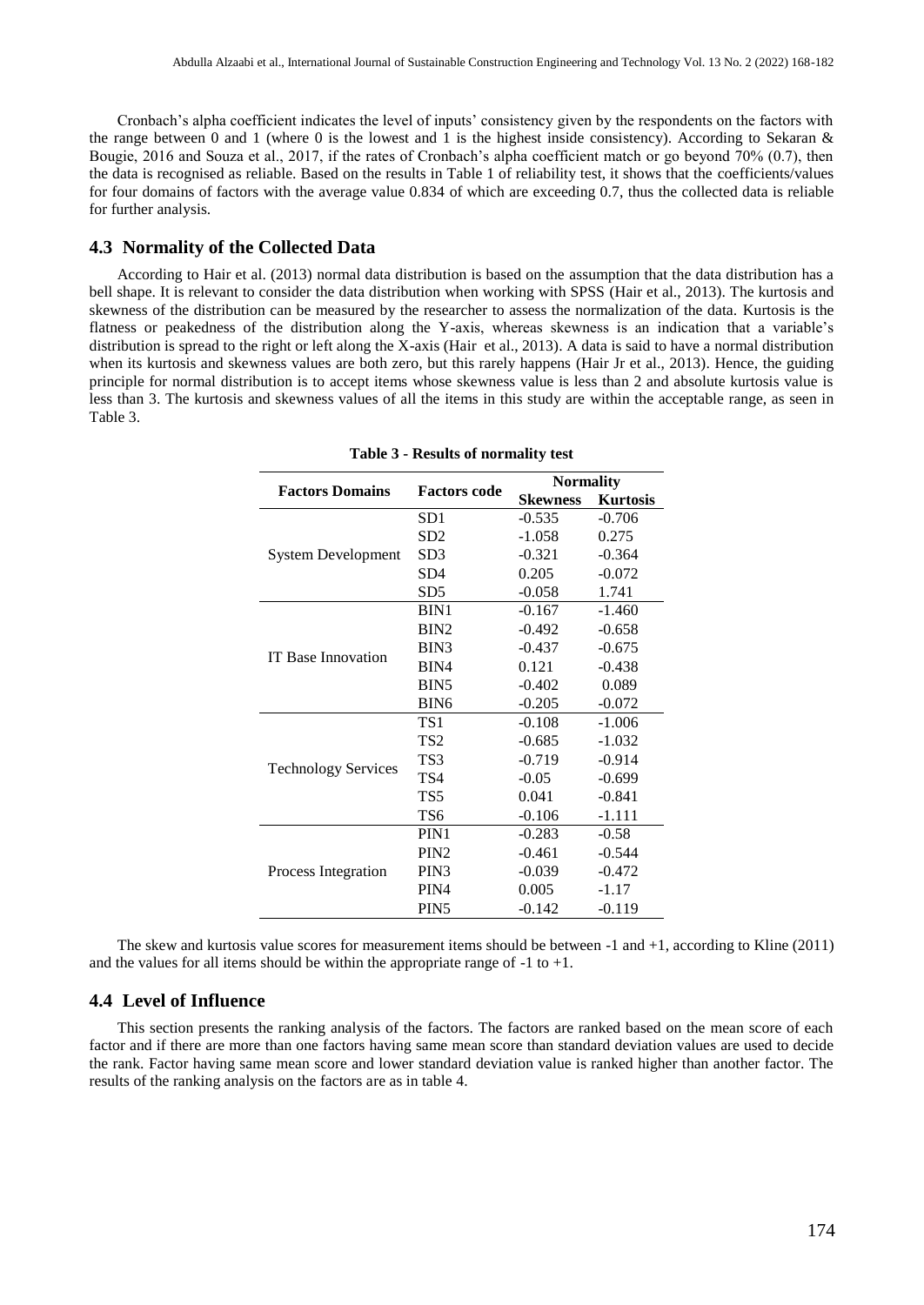Cronbach's alpha coefficient indicates the level of inputs' consistency given by the respondents on the factors with the range between 0 and 1 (where 0 is the lowest and 1 is the highest inside consistency). According to Sekaran  $\&$ Bougie, 2016 and Souza et al., 2017, if the rates of Cronbach's alpha coefficient match or go beyond 70% (0.7), then the data is recognised as reliable. Based on the results in Table 1 of reliability test, it shows that the coefficients/values for four domains of factors with the average value 0.834 of which are exceeding 0.7, thus the collected data is reliable for further analysis.

## **4.3 Normality of the Collected Data**

According to Hair et al. (2013) normal data distribution is based on the assumption that the data distribution has a bell shape. It is relevant to consider the data distribution when working with SPSS (Hair et al., 2013). The kurtosis and skewness of the distribution can be measured by the researcher to assess the normalization of the data. Kurtosis is the flatness or peakedness of the distribution along the Y-axis, whereas skewness is an indication that a variable's distribution is spread to the right or left along the X-axis (Hair et al., 2013). A data is said to have a normal distribution when its kurtosis and skewness values are both zero, but this rarely happens (Hair Jr et al., 2013). Hence, the guiding principle for normal distribution is to accept items whose skewness value is less than 2 and absolute kurtosis value is less than 3. The kurtosis and skewness values of all the items in this study are within the acceptable range, as seen in Table 3.

|                            |                     | <b>Normality</b> |                 |  |
|----------------------------|---------------------|------------------|-----------------|--|
| <b>Factors Domains</b>     | <b>Factors code</b> | <b>Skewness</b>  | <b>Kurtosis</b> |  |
|                            | SD1                 | $-0.535$         | $-0.706$        |  |
|                            | SD2                 | $-1.058$         | 0.275           |  |
| <b>System Development</b>  | SD3                 | $-0.321$         | $-0.364$        |  |
|                            | SD4                 | 0.205            | $-0.072$        |  |
|                            | SD <sub>5</sub>     | $-0.058$         | 1.741           |  |
|                            | BIN1                | $-0.167$         | $-1.460$        |  |
|                            | BIN <sub>2</sub>    | $-0.492$         | $-0.658$        |  |
| <b>IT Base Innovation</b>  | BIN3                | $-0.437$         | $-0.675$        |  |
|                            | BIN4                | 0.121            | $-0.438$        |  |
|                            | BIN <sub>5</sub>    | $-0.402$         | 0.089           |  |
|                            | BIN <sub>6</sub>    | $-0.205$         | $-0.072$        |  |
|                            | TS1                 | $-0.108$         | $-1.006$        |  |
|                            | TS2                 | $-0.685$         | $-1.032$        |  |
|                            | TS3                 | $-0.719$         | $-0.914$        |  |
| <b>Technology Services</b> | TS4                 | $-0.05$          | $-0.699$        |  |
|                            | TS5                 | 0.041            | $-0.841$        |  |
|                            | TS6                 | $-0.106$         | $-1.111$        |  |
|                            | PIN1                | $-0.283$         | $-0.58$         |  |
|                            | PIN <sub>2</sub>    | $-0.461$         | $-0.544$        |  |
| Process Integration        | PIN <sub>3</sub>    | $-0.039$         | $-0.472$        |  |
|                            | PIN4                | 0.005            | $-1.17$         |  |
|                            | PIN <sub>5</sub>    | $-0.142$         | $-0.119$        |  |

**Table 3 - Results of normality test**

The skew and kurtosis value scores for measurement items should be between -1 and +1, according to Kline (2011) and the values for all items should be within the appropriate range of  $-1$  to  $+1$ .

#### **4.4 Level of Influence**

This section presents the ranking analysis of the factors. The factors are ranked based on the mean score of each factor and if there are more than one factors having same mean score than standard deviation values are used to decide the rank. Factor having same mean score and lower standard deviation value is ranked higher than another factor. The results of the ranking analysis on the factors are as in table 4.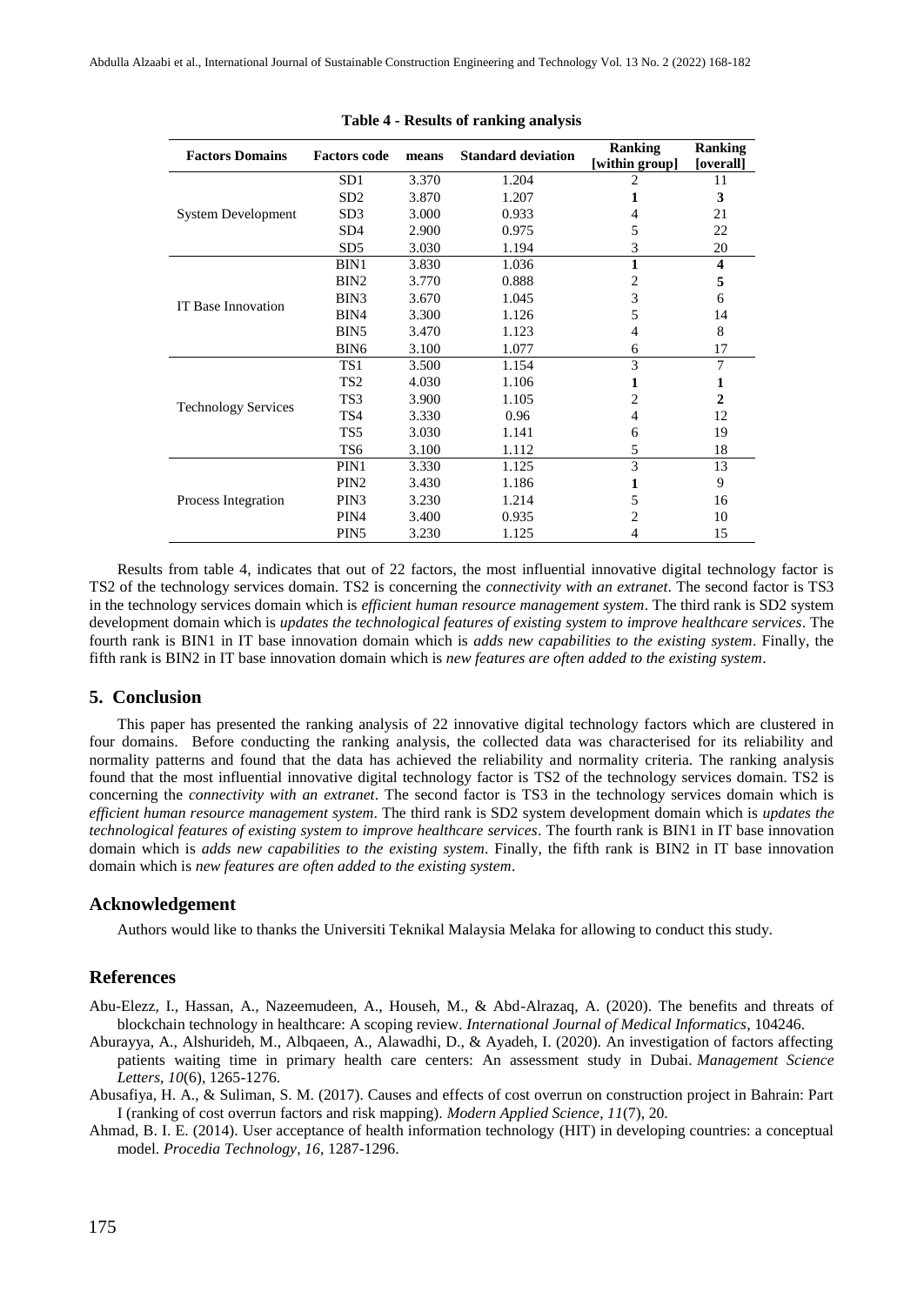| <b>Factors Domains</b>     | <b>Factors code</b> | means | <b>Standard deviation</b> | Ranking<br>[within group] | <b>Ranking</b><br>[overall] |
|----------------------------|---------------------|-------|---------------------------|---------------------------|-----------------------------|
|                            | SD1                 | 3.370 | 1.204                     | $\overline{c}$            | 11                          |
|                            | SD <sub>2</sub>     | 3.870 | 1.207                     | 1                         | 3                           |
| <b>System Development</b>  | SD <sub>3</sub>     | 3.000 | 0.933                     | 4                         | 21                          |
|                            | SD <sub>4</sub>     | 2.900 | 0.975                     | 5                         | 22                          |
|                            | SD5                 | 3.030 | 1.194                     | 3                         | 20                          |
|                            | BIN1                | 3.830 | 1.036                     | 1                         | $\overline{\mathbf{4}}$     |
|                            | BIN <sub>2</sub>    | 3.770 | 0.888                     | 2                         | 5                           |
| <b>IT Base Innovation</b>  | BIN3                | 3.670 | 1.045                     | 3                         | 6                           |
|                            | BIN4                | 3.300 | 1.126                     | 5                         | 14                          |
|                            | BIN <sub>5</sub>    | 3.470 | 1.123                     | 4                         | 8                           |
|                            | BIN <sub>6</sub>    | 3.100 | 1.077                     | 6                         | 17                          |
|                            | TS <sub>1</sub>     | 3.500 | 1.154                     | 3                         | 7                           |
|                            | TS <sub>2</sub>     | 4.030 | 1.106                     | 1                         | 1                           |
|                            | TS3                 | 3.900 | 1.105                     | 2                         | $\mathbf{2}$                |
| <b>Technology Services</b> | TS4                 | 3.330 | 0.96                      | 4                         | 12                          |
|                            | TS <sub>5</sub>     | 3.030 | 1.141                     | 6                         | 19                          |
|                            | TS <sub>6</sub>     | 3.100 | 1.112                     | 5                         | 18                          |
|                            | PIN1                | 3.330 | 1.125                     | 3                         | 13                          |
|                            | PIN <sub>2</sub>    | 3.430 | 1.186                     | 1                         | 9                           |
| Process Integration        | PIN <sub>3</sub>    | 3.230 | 1.214                     | 5                         | 16                          |
|                            | PIN <sub>4</sub>    | 3.400 | 0.935                     | 2                         | 10                          |
|                            | PIN <sub>5</sub>    | 3.230 | 1.125                     | 4                         | 15                          |

#### **Table 4 - Results of ranking analysis**

Results from table 4, indicates that out of 22 factors, the most influential innovative digital technology factor is TS2 of the technology services domain. TS2 is concerning the *connectivity with an extranet*. The second factor is TS3 in the technology services domain which is *efficient human resource management system*. The third rank is SD2 system development domain which is *updates the technological features of existing system to improve healthcare services*. The fourth rank is BIN1 in IT base innovation domain which is *adds new capabilities to the existing system*. Finally, the fifth rank is BIN2 in IT base innovation domain which is *new features are often added to the existing system*.

#### **5. Conclusion**

This paper has presented the ranking analysis of 22 innovative digital technology factors which are clustered in four domains. Before conducting the ranking analysis, the collected data was characterised for its reliability and normality patterns and found that the data has achieved the reliability and normality criteria. The ranking analysis found that the most influential innovative digital technology factor is TS2 of the technology services domain. TS2 is concerning the *connectivity with an extranet*. The second factor is TS3 in the technology services domain which is *efficient human resource management system*. The third rank is SD2 system development domain which is *updates the technological features of existing system to improve healthcare services*. The fourth rank is BIN1 in IT base innovation domain which is *adds new capabilities to the existing system*. Finally, the fifth rank is BIN2 in IT base innovation domain which is *new features are often added to the existing system*.

### **Acknowledgement**

Authors would like to thanks the Universiti Teknikal Malaysia Melaka for allowing to conduct this study.

#### **References**

- Abu-Elezz, I., Hassan, A., Nazeemudeen, A., Househ, M., & Abd-Alrazaq, A. (2020). The benefits and threats of blockchain technology in healthcare: A scoping review. *International Journal of Medical Informatics*, 104246.
- Aburayya, A., Alshurideh, M., Albqaeen, A., Alawadhi, D., & Ayadeh, I. (2020). An investigation of factors affecting patients waiting time in primary health care centers: An assessment study in Dubai. *Management Science Letters*, *10*(6), 1265-1276.
- Abusafiya, H. A., & Suliman, S. M. (2017). Causes and effects of cost overrun on construction project in Bahrain: Part I (ranking of cost overrun factors and risk mapping). *Modern Applied Science*, *11*(7), 20.
- Ahmad, B. I. E. (2014). User acceptance of health information technology (HIT) in developing countries: a conceptual model. *Procedia Technology*, *16*, 1287-1296.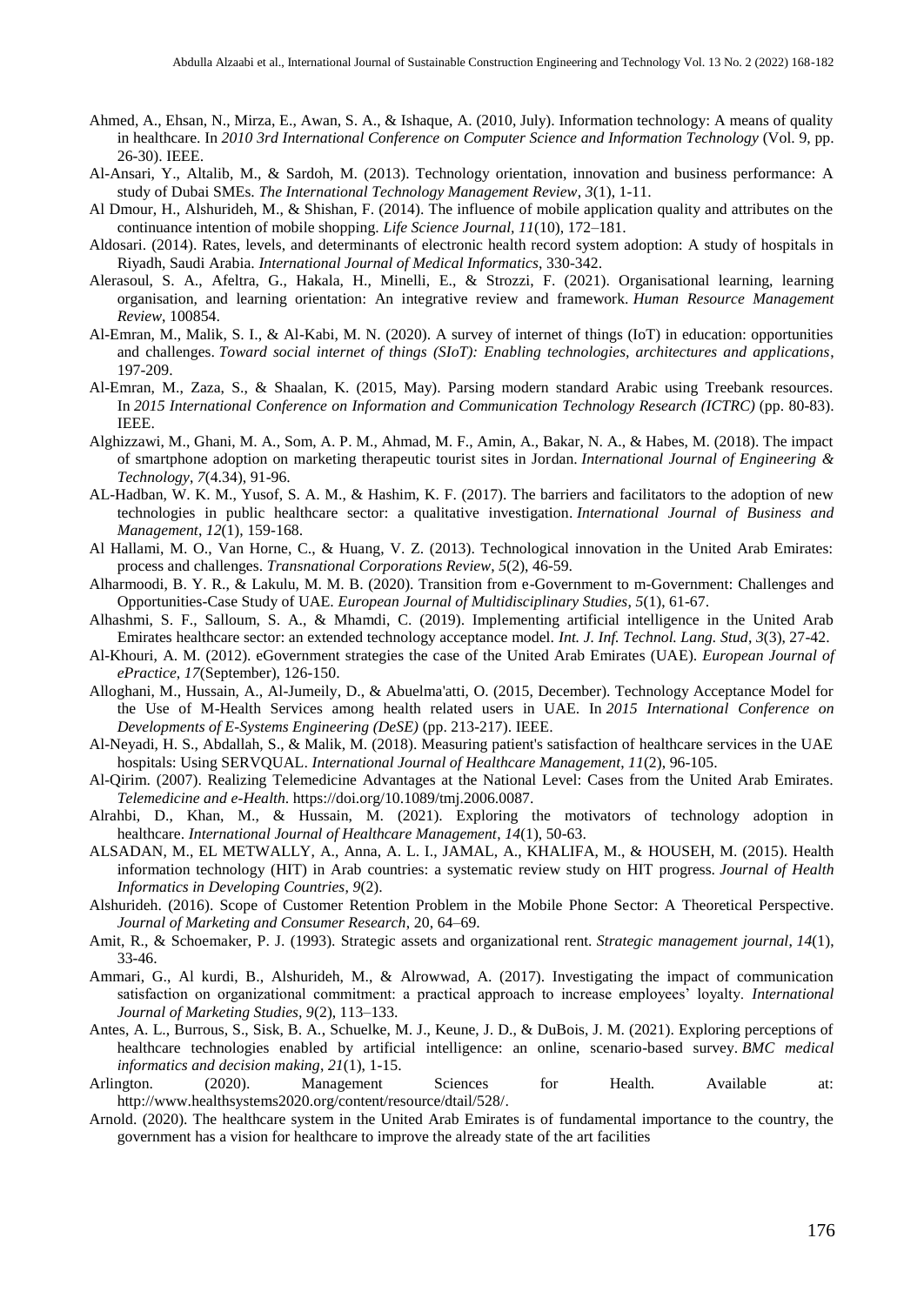- Ahmed, A., Ehsan, N., Mirza, E., Awan, S. A., & Ishaque, A. (2010, July). Information technology: A means of quality in healthcare. In *2010 3rd International Conference on Computer Science and Information Technology* (Vol. 9, pp. 26-30). IEEE.
- Al-Ansari, Y., Altalib, M., & Sardoh, M. (2013). Technology orientation, innovation and business performance: A study of Dubai SMEs. *The International Technology Management Review*, *3*(1), 1-11.
- Al Dmour, H., Alshurideh, M., & Shishan, F. (2014). The influence of mobile application quality and attributes on the continuance intention of mobile shopping. *Life Science Journal, 11*(10), 172–181.
- Aldosari. (2014). Rates, levels, and determinants of electronic health record system adoption: A study of hospitals in Riyadh, Saudi Arabia. *International Journal of Medical Informatics*, 330-342.
- Alerasoul, S. A., Afeltra, G., Hakala, H., Minelli, E., & Strozzi, F. (2021). Organisational learning, learning organisation, and learning orientation: An integrative review and framework. *Human Resource Management Review*, 100854.
- Al-Emran, M., Malik, S. I., & Al-Kabi, M. N. (2020). A survey of internet of things (IoT) in education: opportunities and challenges. *Toward social internet of things (SIoT): Enabling technologies, architectures and applications*, 197-209.
- Al-Emran, M., Zaza, S., & Shaalan, K. (2015, May). Parsing modern standard Arabic using Treebank resources. In *2015 International Conference on Information and Communication Technology Research (ICTRC)* (pp. 80-83). IEEE.
- Alghizzawi, M., Ghani, M. A., Som, A. P. M., Ahmad, M. F., Amin, A., Bakar, N. A., & Habes, M. (2018). The impact of smartphone adoption on marketing therapeutic tourist sites in Jordan. *International Journal of Engineering & Technology*, *7*(4.34), 91-96.
- AL-Hadban, W. K. M., Yusof, S. A. M., & Hashim, K. F. (2017). The barriers and facilitators to the adoption of new technologies in public healthcare sector: a qualitative investigation. *International Journal of Business and Management*, *12*(1), 159-168.
- Al Hallami, M. O., Van Horne, C., & Huang, V. Z. (2013). Technological innovation in the United Arab Emirates: process and challenges. *Transnational Corporations Review*, *5*(2), 46-59.
- Alharmoodi, B. Y. R., & Lakulu, M. M. B. (2020). Transition from e-Government to m-Government: Challenges and Opportunities-Case Study of UAE. *European Journal of Multidisciplinary Studies*, *5*(1), 61-67.
- Alhashmi, S. F., Salloum, S. A., & Mhamdi, C. (2019). Implementing artificial intelligence in the United Arab Emirates healthcare sector: an extended technology acceptance model. *Int. J. Inf. Technol. Lang. Stud*, *3*(3), 27-42.
- Al-Khouri, A. M. (2012). eGovernment strategies the case of the United Arab Emirates (UAE). *European Journal of ePractice*, *17*(September), 126-150.
- Alloghani, M., Hussain, A., Al-Jumeily, D., & Abuelma'atti, O. (2015, December). Technology Acceptance Model for the Use of M-Health Services among health related users in UAE. In *2015 International Conference on Developments of E-Systems Engineering (DeSE)* (pp. 213-217). IEEE.
- Al-Neyadi, H. S., Abdallah, S., & Malik, M. (2018). Measuring patient's satisfaction of healthcare services in the UAE hospitals: Using SERVQUAL. *International Journal of Healthcare Management*, *11*(2), 96-105.
- Al-Qirim. (2007). Realizing Telemedicine Advantages at the National Level: Cases from the United Arab Emirates. *Telemedicine and e-Health*. [https://doi.org/10.1089/tmj.2006.0087.](https://doi.org/10.1089/tmj.2006.0087)
- Alrahbi, D., Khan, M., & Hussain, M. (2021). Exploring the motivators of technology adoption in healthcare. *International Journal of Healthcare Management*, *14*(1), 50-63.
- ALSADAN, M., EL METWALLY, A., Anna, A. L. I., JAMAL, A., KHALIFA, M., & HOUSEH, M. (2015). Health information technology (HIT) in Arab countries: a systematic review study on HIT progress. *Journal of Health Informatics in Developing Countries*, *9*(2).
- Alshurideh. (2016). Scope of Customer Retention Problem in the Mobile Phone Sector: A Theoretical Perspective. *Journal of Marketing and Consumer Research*, 20, 64–69.
- Amit, R., & Schoemaker, P. J. (1993). Strategic assets and organizational rent. *Strategic management journal*, *14*(1), 33-46.
- Ammari, G., Al kurdi, B., Alshurideh, M., & Alrowwad, A. (2017). Investigating the impact of communication satisfaction on organizational commitment: a practical approach to increase employees' loyalty. *International Journal of Marketing Studies, 9*(2), 113–133.
- Antes, A. L., Burrous, S., Sisk, B. A., Schuelke, M. J., Keune, J. D., & DuBois, J. M. (2021). Exploring perceptions of healthcare technologies enabled by artificial intelligence: an online, scenario-based survey. *BMC medical informatics and decision making*, *21*(1), 1-15.
- Arlington. (2020). Management Sciences for Health. Available at: [http://www.healthsystems2020.org/content/resource/dtail/528/.](http://www.healthsystems2020.org/content/resource/dtail/528/)
- Arnold. (2020). The healthcare system in the United Arab Emirates is of fundamental importance to the country, the government has a vision for healthcare to improve the already state of the art facilities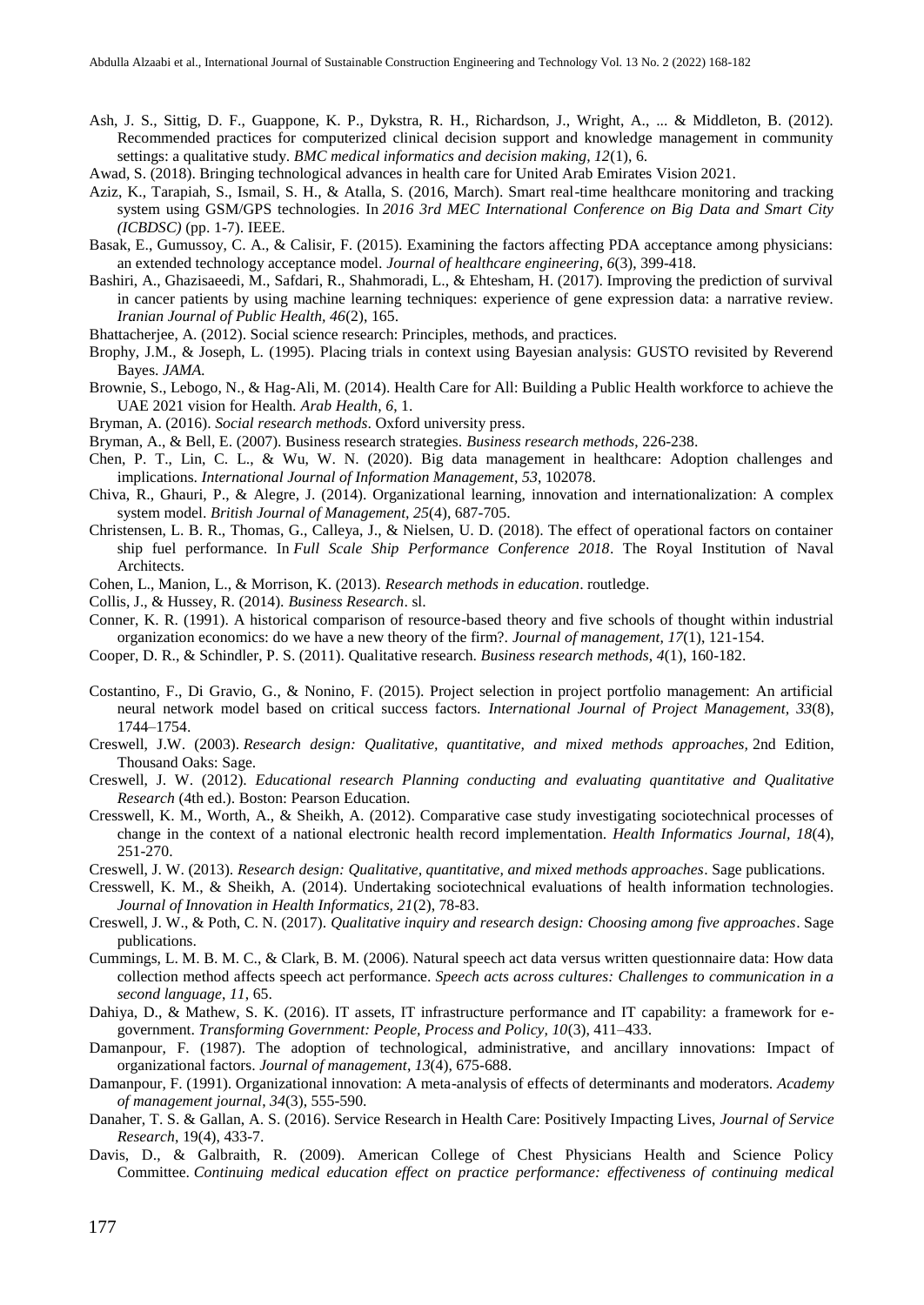- Ash, J. S., Sittig, D. F., Guappone, K. P., Dykstra, R. H., Richardson, J., Wright, A., ... & Middleton, B. (2012). Recommended practices for computerized clinical decision support and knowledge management in community settings: a qualitative study. *BMC medical informatics and decision making, 12*(1), 6.
- Awad, S. (2018). Bringing technological advances in health care for United Arab Emirates Vision 2021.
- Aziz, K., Tarapiah, S., Ismail, S. H., & Atalla, S. (2016, March). Smart real-time healthcare monitoring and tracking system using GSM/GPS technologies. In *2016 3rd MEC International Conference on Big Data and Smart City (ICBDSC)* (pp. 1-7). IEEE.
- Basak, E., Gumussoy, C. A., & Calisir, F. (2015). Examining the factors affecting PDA acceptance among physicians: an extended technology acceptance model. *Journal of healthcare engineering*, *6*(3), 399-418.
- Bashiri, A., Ghazisaeedi, M., Safdari, R., Shahmoradi, L., & Ehtesham, H. (2017). Improving the prediction of survival in cancer patients by using machine learning techniques: experience of gene expression data: a narrative review. *Iranian Journal of Public Health, 46*(2), 165.
- Bhattacherjee, A. (2012). Social science research: Principles, methods, and practices.
- Brophy, J.M., & Joseph, L. (1995). Placing trials in context using Bayesian analysis: GUSTO revisited by Reverend Bayes. *JAMA.*
- Brownie, S., Lebogo, N., & Hag-Ali, M. (2014). Health Care for All: Building a Public Health workforce to achieve the UAE 2021 vision for Health. *Arab Health*, *6*, 1.
- Bryman, A. (2016). *Social research methods*. Oxford university press.
- Bryman, A., & Bell, E. (2007). Business research strategies. *Business research methods*, 226-238.
- Chen, P. T., Lin, C. L., & Wu, W. N. (2020). Big data management in healthcare: Adoption challenges and implications. *International Journal of Information Management*, *53*, 102078.
- Chiva, R., Ghauri, P., & Alegre, J. (2014). Organizational learning, innovation and internationalization: A complex system model. *British Journal of Management, 25*(4), 687-705.
- Christensen, L. B. R., Thomas, G., Calleya, J., & Nielsen, U. D. (2018). The effect of operational factors on container ship fuel performance. In *Full Scale Ship Performance Conference 2018*. The Royal Institution of Naval Architects.
- Cohen, L., Manion, L., & Morrison, K. (2013). *Research methods in education*. routledge.
- Collis, J., & Hussey, R. (2014). *Business Research*. sl.
- Conner, K. R. (1991). A historical comparison of resource-based theory and five schools of thought within industrial organization economics: do we have a new theory of the firm?. *Journal of management*, *17*(1), 121-154.
- Cooper, D. R., & Schindler, P. S. (2011). Qualitative research. *Business research methods*, *4*(1), 160-182.
- Costantino, F., Di Gravio, G., & Nonino, F. (2015). Project selection in project portfolio management: An artificial neural network model based on critical success factors. *International Journal of Project Management, 33*(8), 1744–1754.
- Creswell, J.W. (2003). *Research design: Qualitative, quantitative, and mixed methods approaches,* 2nd Edition, Thousand Oaks: Sage.
- Creswell, J. W. (2012). *Educational research Planning conducting and evaluating quantitative and Qualitative Research* (4th ed.). Boston: Pearson Education.
- Cresswell, K. M., Worth, A., & Sheikh, A. (2012). Comparative case study investigating sociotechnical processes of change in the context of a national electronic health record implementation. *Health Informatics Journal, 18*(4), 251-270.
- Creswell, J. W. (2013). *Research design: Qualitative, quantitative, and mixed methods approaches*. Sage publications.
- Cresswell, K. M., & Sheikh, A. (2014). Undertaking sociotechnical evaluations of health information technologies. *Journal of Innovation in Health Informatics, 21*(2), 78-83.
- Creswell, J. W., & Poth, C. N. (2017). *Qualitative inquiry and research design: Choosing among five approaches*. Sage publications.
- Cummings, L. M. B. M. C., & Clark, B. M. (2006). Natural speech act data versus written questionnaire data: How data collection method affects speech act performance. *Speech acts across cultures: Challenges to communication in a second language*, *11*, 65.
- Dahiya, D., & Mathew, S. K. (2016). IT assets, IT infrastructure performance and IT capability: a framework for egovernment. *Transforming Government: People, Process and Policy, 10*(3), 411–433.
- Damanpour, F. (1987). The adoption of technological, administrative, and ancillary innovations: Impact of organizational factors. *Journal of management*, *13*(4), 675-688.
- Damanpour, F. (1991). Organizational innovation: A meta-analysis of effects of determinants and moderators. *Academy of management journal*, *34*(3), 555-590.
- Danaher, T. S. & Gallan, A. S. (2016). Service Research in Health Care: Positively Impacting Lives, *Journal of Service Research*, 19(4), 433-7.
- Davis, D., & Galbraith, R. (2009). American College of Chest Physicians Health and Science Policy Committee. *Continuing medical education effect on practice performance: effectiveness of continuing medical*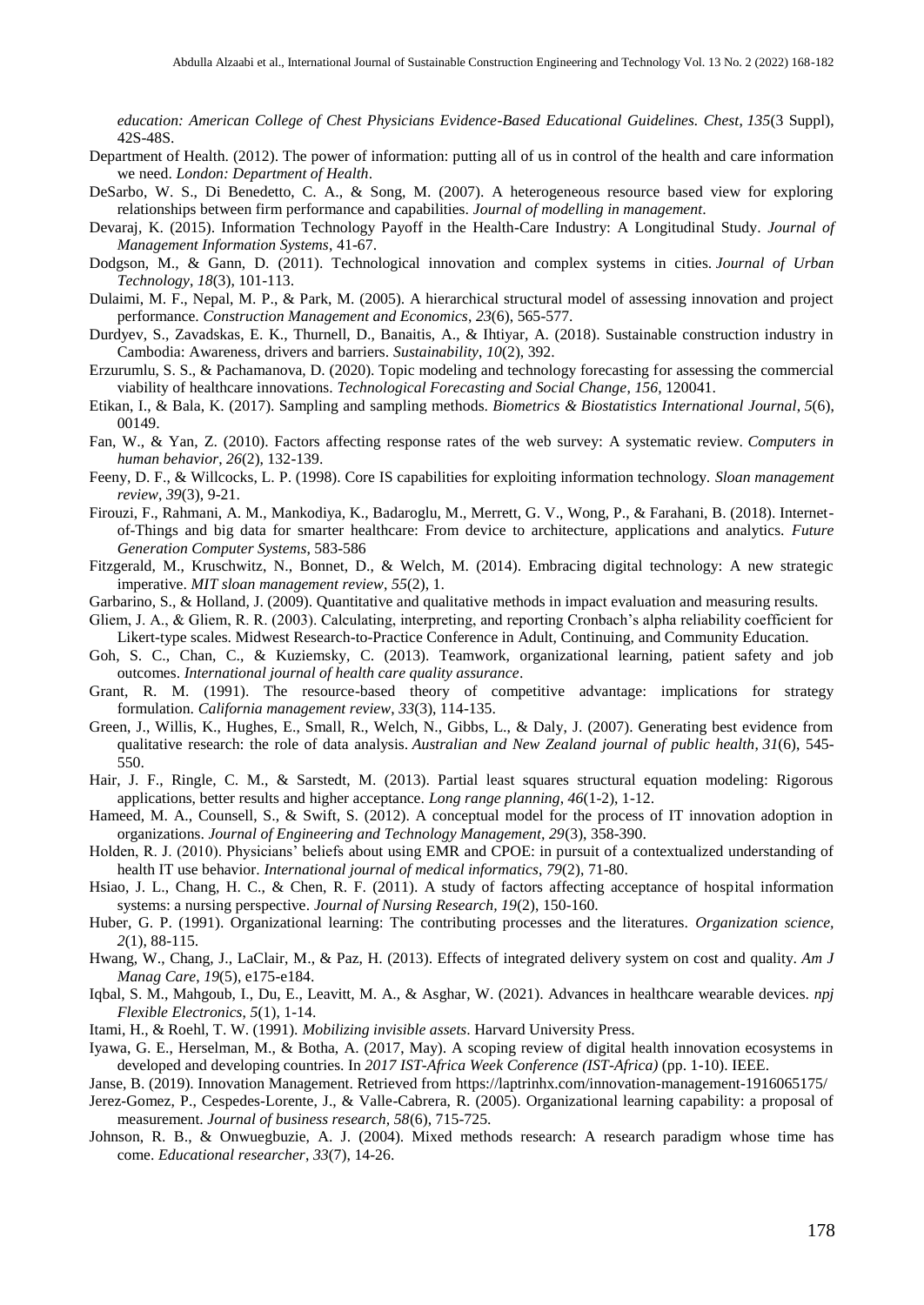*education: American College of Chest Physicians Evidence-Based Educational Guidelines. Chest*, *135*(3 Suppl), 42S-48S.

- Department of Health. (2012). The power of information: putting all of us in control of the health and care information we need. *London: Department of Health*.
- DeSarbo, W. S., Di Benedetto, C. A., & Song, M. (2007). A heterogeneous resource based view for exploring relationships between firm performance and capabilities. *Journal of modelling in management*.
- Devaraj, K. (2015). Information Technology Payoff in the Health-Care Industry: A Longitudinal Study. *Journal of Management Information Systems*, 41-67.
- Dodgson, M., & Gann, D. (2011). Technological innovation and complex systems in cities. *Journal of Urban Technology*, *18*(3), 101-113.
- Dulaimi, M. F., Nepal, M. P., & Park, M. (2005). A hierarchical structural model of assessing innovation and project performance. *Construction Management and Economics*, *23*(6), 565-577.
- Durdyev, S., Zavadskas, E. K., Thurnell, D., Banaitis, A., & Ihtiyar, A. (2018). Sustainable construction industry in Cambodia: Awareness, drivers and barriers. *Sustainability*, *10*(2), 392.
- Erzurumlu, S. S., & Pachamanova, D. (2020). Topic modeling and technology forecasting for assessing the commercial viability of healthcare innovations. *Technological Forecasting and Social Change*, *156*, 120041.
- Etikan, I., & Bala, K. (2017). Sampling and sampling methods. *Biometrics & Biostatistics International Journal*, *5*(6), 00149.
- Fan, W., & Yan, Z. (2010). Factors affecting response rates of the web survey: A systematic review. *Computers in human behavior*, *26*(2), 132-139.
- Feeny, D. F., & Willcocks, L. P. (1998). Core IS capabilities for exploiting information technology. *Sloan management review*, *39*(3), 9-21.
- Firouzi, F., Rahmani, A. M., Mankodiya, K., Badaroglu, M., Merrett, G. V., Wong, P., & Farahani, B. (2018). Internetof-Things and big data for smarter healthcare: From device to architecture, applications and analytics. *Future Generation Computer Systems*, 583-586
- Fitzgerald, M., Kruschwitz, N., Bonnet, D., & Welch, M. (2014). Embracing digital technology: A new strategic imperative. *MIT sloan management review*, *55*(2), 1.
- Garbarino, S., & Holland, J. (2009). Quantitative and qualitative methods in impact evaluation and measuring results.
- Gliem, J. A., & Gliem, R. R. (2003). Calculating, interpreting, and reporting Cronbach's alpha reliability coefficient for Likert-type scales. Midwest Research-to-Practice Conference in Adult, Continuing, and Community Education.
- Goh, S. C., Chan, C., & Kuziemsky, C. (2013). Teamwork, organizational learning, patient safety and job outcomes. *International journal of health care quality assurance*.
- Grant, R. M. (1991). The resource-based theory of competitive advantage: implications for strategy formulation. *California management review*, *33*(3), 114-135.
- Green, J., Willis, K., Hughes, E., Small, R., Welch, N., Gibbs, L., & Daly, J. (2007). Generating best evidence from qualitative research: the role of data analysis. *Australian and New Zealand journal of public health*, *31*(6), 545- 550.
- Hair, J. F., Ringle, C. M., & Sarstedt, M. (2013). Partial least squares structural equation modeling: Rigorous applications, better results and higher acceptance. *Long range planning*, *46*(1-2), 1-12.
- Hameed, M. A., Counsell, S., & Swift, S. (2012). A conceptual model for the process of IT innovation adoption in organizations. *Journal of Engineering and Technology Management, 29*(3), 358-390.
- Holden, R. J. (2010). Physicians' beliefs about using EMR and CPOE: in pursuit of a contextualized understanding of health IT use behavior. *International journal of medical informatics*, *79*(2), 71-80.
- Hsiao, J. L., Chang, H. C., & Chen, R. F. (2011). A study of factors affecting acceptance of hospital information systems: a nursing perspective. *Journal of Nursing Research, 19*(2), 150-160.
- Huber, G. P. (1991). Organizational learning: The contributing processes and the literatures. *Organization science, 2*(1), 88-115.
- Hwang, W., Chang, J., LaClair, M., & Paz, H. (2013). Effects of integrated delivery system on cost and quality. *Am J Manag Care*, *19*(5), e175-e184.
- Iqbal, S. M., Mahgoub, I., Du, E., Leavitt, M. A., & Asghar, W. (2021). Advances in healthcare wearable devices. *npj Flexible Electronics*, *5*(1), 1-14.
- Itami, H., & Roehl, T. W. (1991). *Mobilizing invisible assets*. Harvard University Press.
- Iyawa, G. E., Herselman, M., & Botha, A. (2017, May). A scoping review of digital health innovation ecosystems in developed and developing countries. In *2017 IST-Africa Week Conference (IST-Africa)* (pp. 1-10). IEEE.
- Janse, B. (2019). Innovation Management. Retrieved from<https://laptrinhx.com/innovation-management-1916065175/>
- Jerez-Gomez, P., Cespedes-Lorente, J., & Valle-Cabrera, R. (2005). Organizational learning capability: a proposal of measurement. *Journal of business research, 58*(6), 715-725.
- Johnson, R. B., & Onwuegbuzie, A. J. (2004). Mixed methods research: A research paradigm whose time has come. *Educational researcher*, *33*(7), 14-26.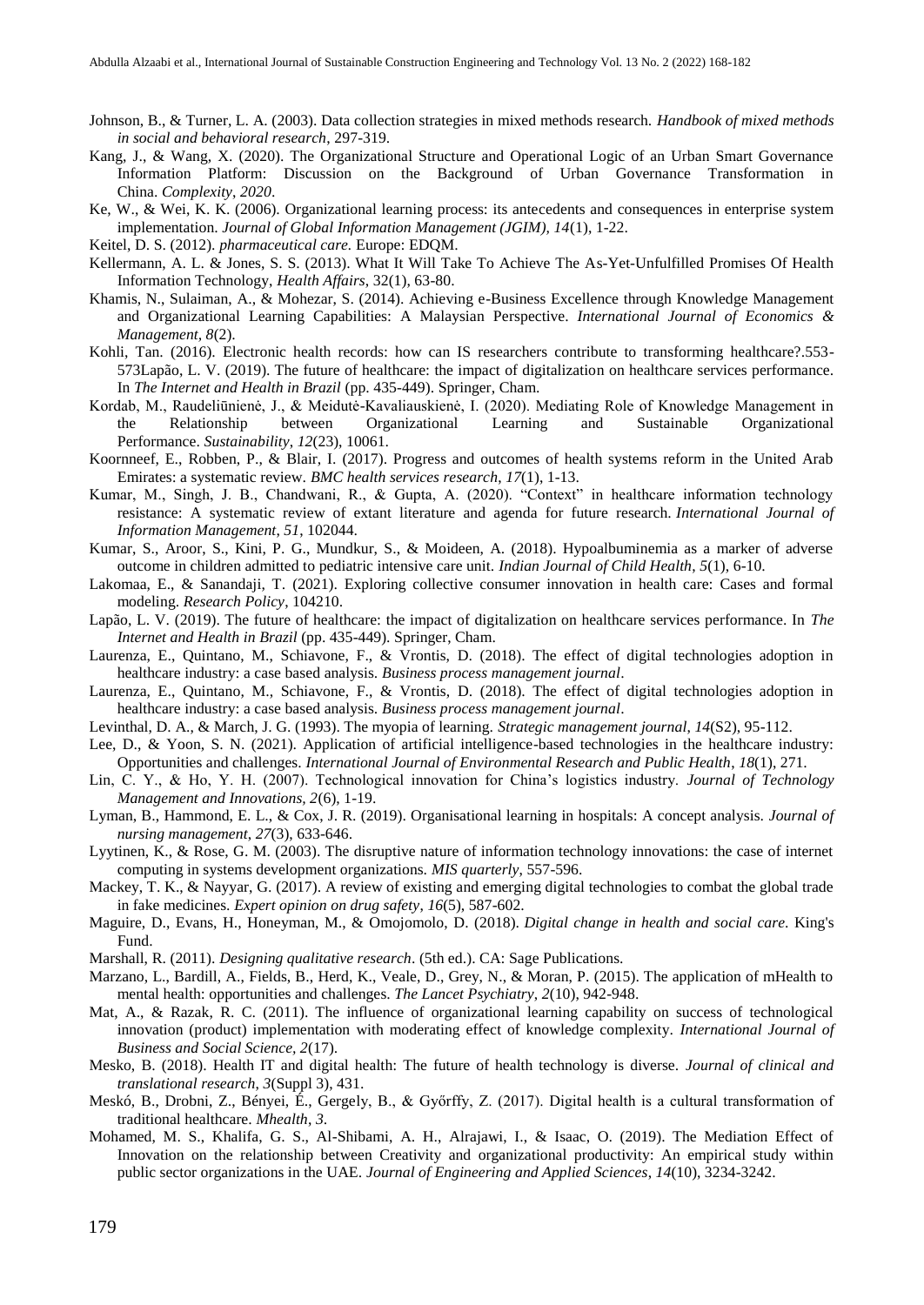- Johnson, B., & Turner, L. A. (2003). Data collection strategies in mixed methods research. *Handbook of mixed methods in social and behavioral research*, 297-319.
- Kang, J., & Wang, X. (2020). The Organizational Structure and Operational Logic of an Urban Smart Governance Information Platform: Discussion on the Background of Urban Governance Transformation in China. *Complexity*, *2020*.
- Ke, W., & Wei, K. K. (2006). Organizational learning process: its antecedents and consequences in enterprise system implementation. *Journal of Global Information Management (JGIM), 14*(1), 1-22.
- Keitel, D. S. (2012). *pharmaceutical care.* Europe: EDQM.
- Kellermann, A. L. & Jones, S. S. (2013). What It Will Take To Achieve The As-Yet-Unfulfilled Promises Of Health Information Technology, *Health Affairs*, 32(1), 63-80.
- Khamis, N., Sulaiman, A., & Mohezar, S. (2014). Achieving e-Business Excellence through Knowledge Management and Organizational Learning Capabilities: A Malaysian Perspective. *International Journal of Economics & Management, 8*(2).
- Kohli, Tan. (2016). Electronic health records: how can IS researchers contribute to transforming healthcare?.553- 573Lapão, L. V. (2019). The future of healthcare: the impact of digitalization on healthcare services performance. In *The Internet and Health in Brazil* (pp. 435-449). Springer, Cham.
- Kordab, M., Raudeliūnienė, J., & Meidutė-Kavaliauskienė, I. (2020). Mediating Role of Knowledge Management in the Relationship between Organizational Learning and Sustainable Organizational Performance. *Sustainability*, *12*(23), 10061.
- Koornneef, E., Robben, P., & Blair, I. (2017). Progress and outcomes of health systems reform in the United Arab Emirates: a systematic review. *BMC health services research*, *17*(1), 1-13.
- Kumar, M., Singh, J. B., Chandwani, R., & Gupta, A. (2020). "Context" in healthcare information technology resistance: A systematic review of extant literature and agenda for future research. *International Journal of Information Management*, *51*, 102044.
- Kumar, S., Aroor, S., Kini, P. G., Mundkur, S., & Moideen, A. (2018). Hypoalbuminemia as a marker of adverse outcome in children admitted to pediatric intensive care unit. *Indian Journal of Child Health*, *5*(1), 6-10.
- Lakomaa, E., & Sanandaji, T. (2021). Exploring collective consumer innovation in health care: Cases and formal modeling. *Research Policy*, 104210.
- Lapão, L. V. (2019). The future of healthcare: the impact of digitalization on healthcare services performance. In *The Internet and Health in Brazil* (pp. 435-449). Springer, Cham.
- Laurenza, E., Quintano, M., Schiavone, F., & Vrontis, D. (2018). The effect of digital technologies adoption in healthcare industry: a case based analysis. *Business process management journal*.
- Laurenza, E., Quintano, M., Schiavone, F., & Vrontis, D. (2018). The effect of digital technologies adoption in healthcare industry: a case based analysis. *Business process management journal*.
- Levinthal, D. A., & March, J. G. (1993). The myopia of learning. *Strategic management journal*, *14*(S2), 95-112.
- Lee, D., & Yoon, S. N. (2021). Application of artificial intelligence-based technologies in the healthcare industry: Opportunities and challenges. *International Journal of Environmental Research and Public Health*, *18*(1), 271.
- Lin, C. Y., & Ho, Y. H. (2007). Technological innovation for China's logistics industry. *Journal of Technology Management and Innovations, 2*(6), 1-19.
- Lyman, B., Hammond, E. L., & Cox, J. R. (2019). Organisational learning in hospitals: A concept analysis. *Journal of nursing management*, *27*(3), 633-646.
- Lyytinen, K., & Rose, G. M. (2003). The disruptive nature of information technology innovations: the case of internet computing in systems development organizations. *MIS quarterly*, 557-596.
- Mackey, T. K., & Nayyar, G. (2017). A review of existing and emerging digital technologies to combat the global trade in fake medicines. *Expert opinion on drug safety*, *16*(5), 587-602.
- Maguire, D., Evans, H., Honeyman, M., & Omojomolo, D. (2018). *Digital change in health and social care*. King's Fund.
- Marshall, R. (2011). *Designing qualitative research*. (5th ed.). CA: Sage Publications.
- Marzano, L., Bardill, A., Fields, B., Herd, K., Veale, D., Grey, N., & Moran, P. (2015). The application of mHealth to mental health: opportunities and challenges. *The Lancet Psychiatry*, *2*(10), 942-948.
- Mat, A., & Razak, R. C. (2011). The influence of organizational learning capability on success of technological innovation (product) implementation with moderating effect of knowledge complexity. *International Journal of Business and Social Science, 2*(17).
- Mesko, B. (2018). Health IT and digital health: The future of health technology is diverse. *Journal of clinical and translational research*, *3*(Suppl 3), 431.
- Meskó, B., Drobni, Z., Bényei, É., Gergely, B., & Győrffy, Z. (2017). Digital health is a cultural transformation of traditional healthcare. *Mhealth*, *3*.
- Mohamed, M. S., Khalifa, G. S., Al-Shibami, A. H., Alrajawi, I., & Isaac, O. (2019). The Mediation Effect of Innovation on the relationship between Creativity and organizational productivity: An empirical study within public sector organizations in the UAE. *Journal of Engineering and Applied Sciences*, *14*(10), 3234-3242.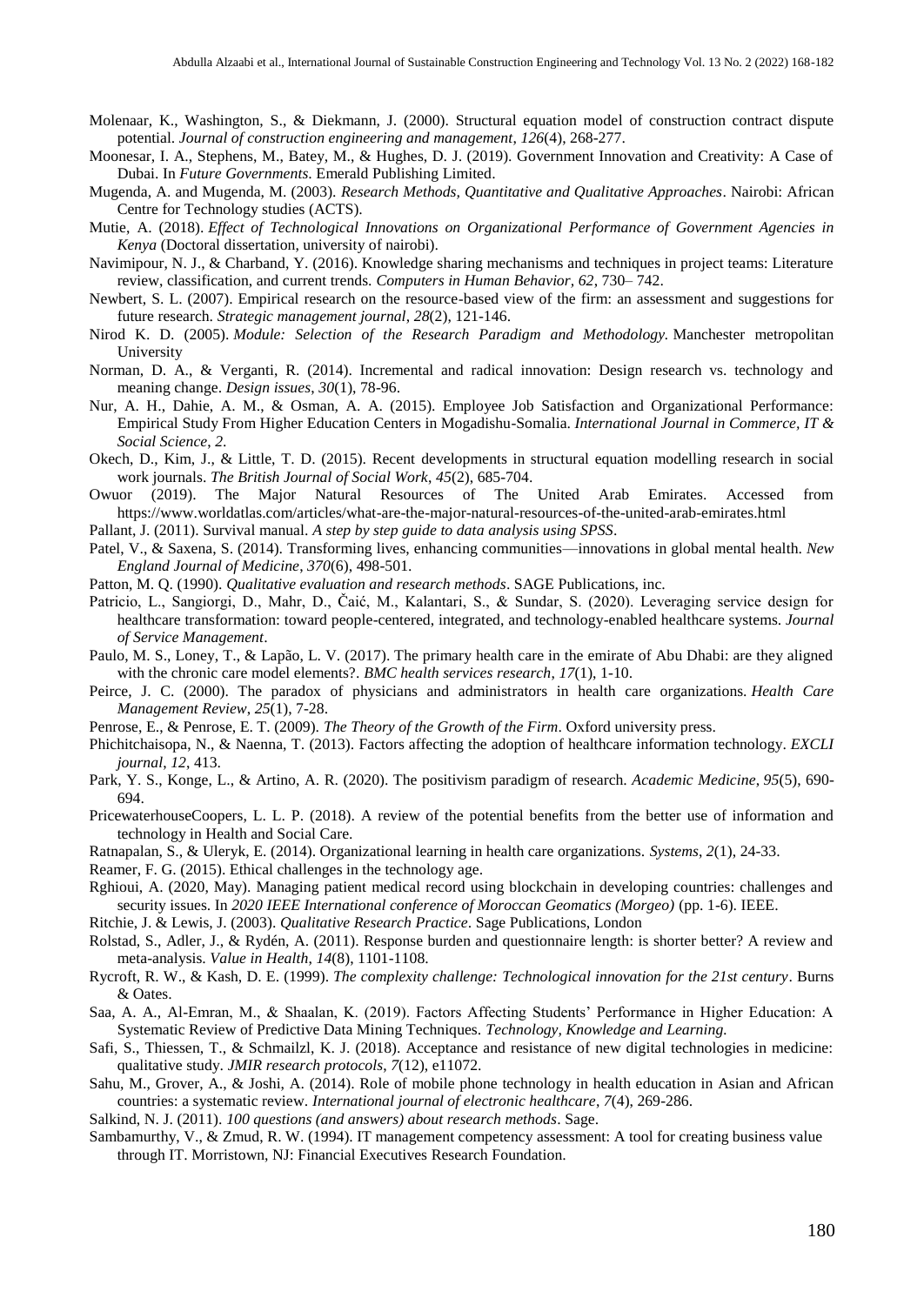- Molenaar, K., Washington, S., & Diekmann, J. (2000). Structural equation model of construction contract dispute potential. *Journal of construction engineering and management*, *126*(4), 268-277.
- Moonesar, I. A., Stephens, M., Batey, M., & Hughes, D. J. (2019). Government Innovation and Creativity: A Case of Dubai. In *Future Governments*. Emerald Publishing Limited.
- Mugenda, A. and Mugenda, M. (2003). *Research Methods, Quantitative and Qualitative Approaches*. Nairobi: African Centre for Technology studies (ACTS).
- Mutie, A. (2018). *Effect of Technological Innovations on Organizational Performance of Government Agencies in Kenya* (Doctoral dissertation, university of nairobi).
- Navimipour, N. J., & Charband, Y. (2016). Knowledge sharing mechanisms and techniques in project teams: Literature review, classification, and current trends. *Computers in Human Behavior, 62*, 730– 742.
- Newbert, S. L. (2007). Empirical research on the resource-based view of the firm: an assessment and suggestions for future research. *Strategic management journal*, *28*(2), 121-146.
- Nirod K. D. (2005). *Module: Selection of the Research Paradigm and Methodology.* Manchester metropolitan University
- Norman, D. A., & Verganti, R. (2014). Incremental and radical innovation: Design research vs. technology and meaning change. *Design issues*, *30*(1), 78-96.
- Nur, A. H., Dahie, A. M., & Osman, A. A. (2015). Employee Job Satisfaction and Organizational Performance: Empirical Study From Higher Education Centers in Mogadishu-Somalia. *International Journal in Commerce, IT & Social Science*, *2*.
- Okech, D., Kim, J., & Little, T. D. (2015). Recent developments in structural equation modelling research in social work journals. *The British Journal of Social Work*, *45*(2), 685-704.
- Owuor (2019). The Major Natural Resources of The United Arab Emirates. Accessed from <https://www.worldatlas.com/articles/what-are-the-major-natural-resources-of-the-united-arab-emirates.html>
- Pallant, J. (2011). Survival manual. *A step by step guide to data analysis using SPSS*.
- Patel, V., & Saxena, S. (2014). Transforming lives, enhancing communities—innovations in global mental health. *New England Journal of Medicine*, *370*(6), 498-501.
- Patton, M. Q. (1990). *Qualitative evaluation and research methods*. SAGE Publications, inc.
- Patricio, L., Sangiorgi, D., Mahr, D., Čaić, M., Kalantari, S., & Sundar, S. (2020). Leveraging service design for healthcare transformation: toward people-centered, integrated, and technology-enabled healthcare systems. *Journal of Service Management*.
- Paulo, M. S., Loney, T., & Lapão, L. V. (2017). The primary health care in the emirate of Abu Dhabi: are they aligned with the chronic care model elements?. *BMC health services research*, *17*(1), 1-10.
- Peirce, J. C. (2000). The paradox of physicians and administrators in health care organizations. *Health Care Management Review*, *25*(1), 7-28.
- Penrose, E., & Penrose, E. T. (2009). *The Theory of the Growth of the Firm*. Oxford university press.
- Phichitchaisopa, N., & Naenna, T. (2013). Factors affecting the adoption of healthcare information technology. *EXCLI journal*, *12*, 413.
- Park, Y. S., Konge, L., & Artino, A. R. (2020). The positivism paradigm of research. *Academic Medicine*, *95*(5), 690- 694.
- PricewaterhouseCoopers, L. L. P. (2018). A review of the potential benefits from the better use of information and technology in Health and Social Care.
- Ratnapalan, S., & Uleryk, E. (2014). Organizational learning in health care organizations. *Systems*, *2*(1), 24-33.
- Reamer, F. G. (2015). Ethical challenges in the technology age.
- Rghioui, A. (2020, May). Managing patient medical record using blockchain in developing countries: challenges and security issues. In *2020 IEEE International conference of Moroccan Geomatics (Morgeo)* (pp. 1-6). IEEE.
- Ritchie, J. & Lewis, J. (2003). *Qualitative Research Practice*. Sage Publications, London
- Rolstad, S., Adler, J., & Rydén, A. (2011). Response burden and questionnaire length: is shorter better? A review and meta-analysis. *Value in Health*, *14*(8), 1101-1108.
- Rycroft, R. W., & Kash, D. E. (1999). *The complexity challenge: Technological innovation for the 21st century*. Burns & Oates.
- Saa, A. A., Al-Emran, M., & Shaalan, K. (2019). Factors Affecting Students' Performance in Higher Education: A Systematic Review of Predictive Data Mining Techniques. *Technology, Knowledge and Learning.*
- Safi, S., Thiessen, T., & Schmailzl, K. J. (2018). Acceptance and resistance of new digital technologies in medicine: qualitative study. *JMIR research protocols*, *7*(12), e11072.
- Sahu, M., Grover, A., & Joshi, A. (2014). Role of mobile phone technology in health education in Asian and African countries: a systematic review. *International journal of electronic healthcare*, *7*(4), 269-286.

Salkind, N. J. (2011). *100 questions (and answers) about research methods*. Sage.

Sambamurthy, V., & Zmud, R. W. (1994). IT management competency assessment: A tool for creating business value through IT. Morristown, NJ: Financial Executives Research Foundation.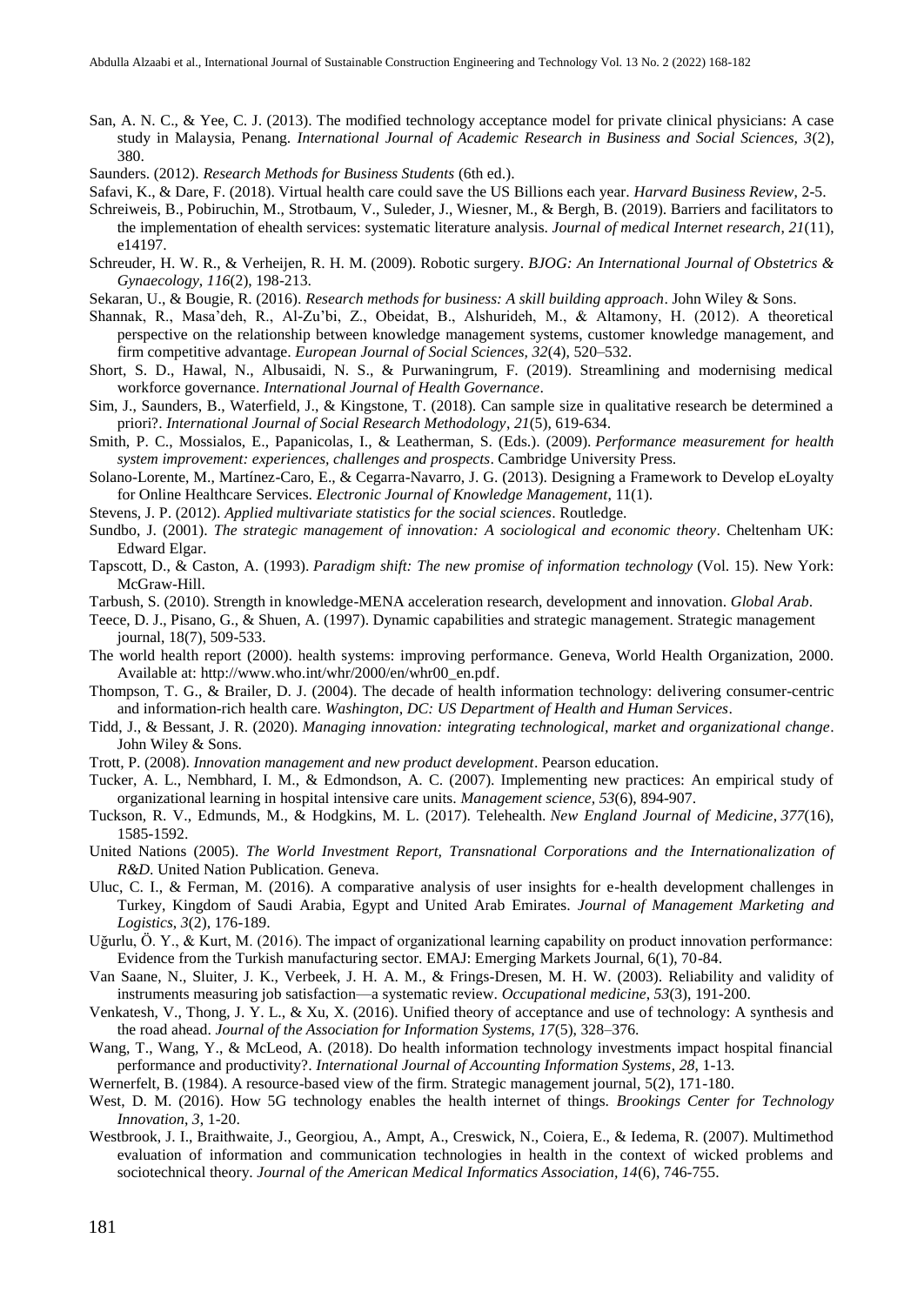San, A. N. C., & Yee, C. J. (2013). The modified technology acceptance model for private clinical physicians: A case study in Malaysia, Penang. *International Journal of Academic Research in Business and Social Sciences, 3*(2), 380.

Saunders. (2012). *Research Methods for Business Students* (6th ed.).

- Safavi, K., & Dare, F. (2018). Virtual health care could save the US Billions each year. *Harvard Business Review*, 2-5.
- Schreiweis, B., Pobiruchin, M., Strotbaum, V., Suleder, J., Wiesner, M., & Bergh, B. (2019). Barriers and facilitators to the implementation of ehealth services: systematic literature analysis. *Journal of medical Internet research*, *21*(11), e14197.
- Schreuder, H. W. R., & Verheijen, R. H. M. (2009). Robotic surgery. *BJOG: An International Journal of Obstetrics & Gynaecology*, *116*(2), 198-213.
- Sekaran, U., & Bougie, R. (2016). *Research methods for business: A skill building approach*. John Wiley & Sons.
- Shannak, R., Masa'deh, R., Al-Zu'bi, Z., Obeidat, B., Alshurideh, M., & Altamony, H. (2012). A theoretical perspective on the relationship between knowledge management systems, customer knowledge management, and firm competitive advantage. *European Journal of Social Sciences, 32*(4), 520–532.
- Short, S. D., Hawal, N., Albusaidi, N. S., & Purwaningrum, F. (2019). Streamlining and modernising medical workforce governance. *International Journal of Health Governance*.
- Sim, J., Saunders, B., Waterfield, J., & Kingstone, T. (2018). Can sample size in qualitative research be determined a priori?. *International Journal of Social Research Methodology*, *21*(5), 619-634.
- Smith, P. C., Mossialos, E., Papanicolas, I., & Leatherman, S. (Eds.). (2009). *Performance measurement for health system improvement: experiences, challenges and prospects*. Cambridge University Press.
- Solano-Lorente, M., Martínez-Caro, E., & Cegarra-Navarro, J. G. (2013). Designing a Framework to Develop eLoyalty for Online Healthcare Services. *Electronic Journal of Knowledge Management*, 11(1).
- Stevens, J. P. (2012). *Applied multivariate statistics for the social sciences*. Routledge.
- Sundbo, J. (2001). *The strategic management of innovation: A sociological and economic theory*. Cheltenham UK: Edward Elgar.
- Tapscott, D., & Caston, A. (1993). *Paradigm shift: The new promise of information technology* (Vol. 15). New York: McGraw-Hill.
- Tarbush, S. (2010). Strength in knowledge-MENA acceleration research, development and innovation. *Global Arab*.
- Teece, D. J., Pisano, G., & Shuen, A. (1997). Dynamic capabilities and strategic management. Strategic management journal, 18(7), 509-533.
- The world health report (2000). health systems: improving performance. Geneva, World Health Organization, 2000. Available at: [http://www.who.int/whr/2000/en/whr00\\_en.pdf.](http://www.who.int/whr/2000/en/whr00_en.pdf)
- Thompson, T. G., & Brailer, D. J. (2004). The decade of health information technology: delivering consumer-centric and information-rich health care. *Washington, DC: US Department of Health and Human Services*.
- Tidd, J., & Bessant, J. R. (2020). *Managing innovation: integrating technological, market and organizational change*. John Wiley & Sons.
- Trott, P. (2008). *Innovation management and new product development*. Pearson education.
- Tucker, A. L., Nembhard, I. M., & Edmondson, A. C. (2007). Implementing new practices: An empirical study of organizational learning in hospital intensive care units. *Management science, 53*(6), 894-907.
- Tuckson, R. V., Edmunds, M., & Hodgkins, M. L. (2017). Telehealth. *New England Journal of Medicine*, *377*(16), 1585-1592.
- United Nations (2005). *The World Investment Report, Transnational Corporations and the Internationalization of R&D*. United Nation Publication. Geneva.
- Uluc, C. I., & Ferman, M. (2016). A comparative analysis of user insights for e-health development challenges in Turkey, Kingdom of Saudi Arabia, Egypt and United Arab Emirates. *Journal of Management Marketing and Logistics*, *3*(2), 176-189.
- Uğurlu, Ö. Y., & Kurt, M. (2016). The impact of organizational learning capability on product innovation performance: Evidence from the Turkish manufacturing sector. EMAJ: Emerging Markets Journal, 6(1), 70-84.
- Van Saane, N., Sluiter, J. K., Verbeek, J. H. A. M., & Frings‐Dresen, M. H. W. (2003). Reliability and validity of instruments measuring job satisfaction—a systematic review. *Occupational medicine*, *53*(3), 191-200.
- Venkatesh, V., Thong, J. Y. L., & Xu, X. (2016). Unified theory of acceptance and use of technology: A synthesis and the road ahead. *Journal of the Association for Information Systems, 17*(5), 328–376.
- Wang, T., Wang, Y., & McLeod, A. (2018). Do health information technology investments impact hospital financial performance and productivity?. *International Journal of Accounting Information Systems*, *28*, 1-13.
- Wernerfelt, B. (1984). A resource-based view of the firm. Strategic management journal, 5(2), 171-180.
- West, D. M. (2016). How 5G technology enables the health internet of things. *Brookings Center for Technology Innovation*, *3*, 1-20.
- Westbrook, J. I., Braithwaite, J., Georgiou, A., Ampt, A., Creswick, N., Coiera, E., & Iedema, R. (2007). Multimethod evaluation of information and communication technologies in health in the context of wicked problems and sociotechnical theory. *Journal of the American Medical Informatics Association, 14*(6), 746-755.